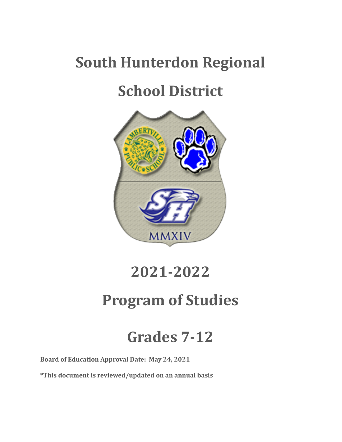# **South Hunterdon Regional**

# **School District**



# **2021-2022**

# **Program of Studies**

# **Grades 7-12**

**Board of Education Approval Date: May 24, 2021**

**\*This document is reviewed/updated on an annual basis**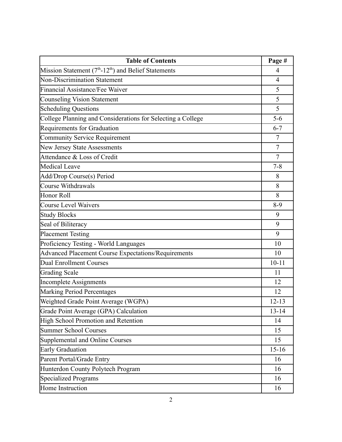| <b>Table of Contents</b>                                    |                |  |
|-------------------------------------------------------------|----------------|--|
| Mission Statement $(7th-12th)$ and Belief Statements        | $\overline{4}$ |  |
| <b>Non-Discrimination Statement</b>                         | $\overline{4}$ |  |
| Financial Assistance/Fee Waiver                             | 5              |  |
| <b>Counseling Vision Statement</b>                          | 5              |  |
| <b>Scheduling Questions</b>                                 | 5              |  |
| College Planning and Considerations for Selecting a College | $5-6$          |  |
| <b>Requirements for Graduation</b>                          | $6 - 7$        |  |
| Community Service Requirement                               | $\overline{7}$ |  |
| New Jersey State Assessments                                | $\overline{7}$ |  |
| Attendance & Loss of Credit                                 | $\overline{7}$ |  |
| <b>Medical Leave</b>                                        | $7 - 8$        |  |
| Add/Drop Course(s) Period                                   | 8              |  |
| <b>Course Withdrawals</b>                                   | 8              |  |
| Honor Roll                                                  | 8              |  |
| <b>Course Level Waivers</b>                                 | $8-9$          |  |
| <b>Study Blocks</b>                                         | 9              |  |
| Seal of Biliteracy                                          | 9              |  |
| <b>Placement Testing</b>                                    | 9              |  |
| Proficiency Testing - World Languages                       | 10             |  |
| <b>Advanced Placement Course Expectations/Requirements</b>  | 10             |  |
| <b>Dual Enrollment Courses</b>                              | $10 - 11$      |  |
| <b>Grading Scale</b>                                        | 11             |  |
| <b>Incomplete Assignments</b>                               | 12             |  |
| <b>Marking Period Percentages</b>                           | 12             |  |
| Weighted Grade Point Average (WGPA)                         | $12 - 13$      |  |
| Grade Point Average (GPA) Calculation                       | $13 - 14$      |  |
| High School Promotion and Retention                         | 14             |  |
| <b>Summer School Courses</b>                                | 15             |  |
| Supplemental and Online Courses                             | 15             |  |
| <b>Early Graduation</b>                                     | $15 - 16$      |  |
| Parent Portal/Grade Entry                                   | 16             |  |
| Hunterdon County Polytech Program                           | 16             |  |
| Specialized Programs                                        | 16             |  |
| Home Instruction                                            | 16             |  |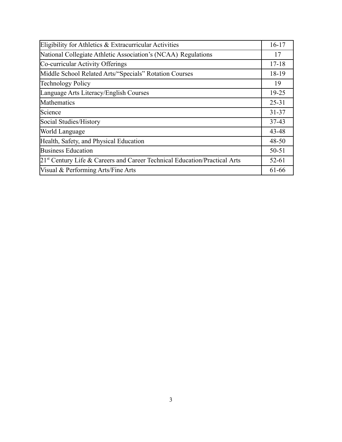| Eligibility for Athletics & Extracurricular Activities                      |           |  |  |
|-----------------------------------------------------------------------------|-----------|--|--|
| National Collegiate Athletic Association's (NCAA) Regulations               | 17        |  |  |
| Co-curricular Activity Offerings                                            | $17 - 18$ |  |  |
| Middle School Related Arts/"Specials" Rotation Courses                      | 18-19     |  |  |
| <b>Technology Policy</b>                                                    | 19        |  |  |
| Language Arts Literacy/English Courses                                      | $19 - 25$ |  |  |
| Mathematics                                                                 | $25 - 31$ |  |  |
| Science                                                                     | $31 - 37$ |  |  |
| Social Studies/History                                                      | $37 - 43$ |  |  |
| World Language                                                              | 43-48     |  |  |
| Health, Safety, and Physical Education                                      | $48 - 50$ |  |  |
| <b>Business Education</b>                                                   | 50-51     |  |  |
| $21st$ Century Life & Careers and Career Technical Education/Practical Arts | $52 - 61$ |  |  |
| Visual & Performing Arts/Fine Arts                                          | 61-66     |  |  |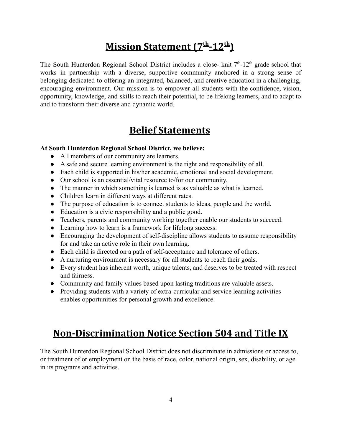# **Mission Statement (7th -12th)**

The South Hunterdon Regional School District includes a close- knit  $7<sup>th</sup>$ -12<sup>th</sup> grade school that works in partnership with a diverse, supportive community anchored in a strong sense of belonging dedicated to offering an integrated, balanced, and creative education in a challenging, encouraging environment. Our mission is to empower all students with the confidence, vision, opportunity, knowledge, and skills to reach their potential, to be lifelong learners, and to adapt to and to transform their diverse and dynamic world.

## **Belief Statements**

### **At South Hunterdon Regional School District, we believe:**

- All members of our community are learners.
- A safe and secure learning environment is the right and responsibility of all.
- Each child is supported in his/her academic, emotional and social development.
- Our school is an essential/vital resource to/for our community.
- The manner in which something is learned is as valuable as what is learned.
- Children learn in different ways at different rates.
- The purpose of education is to connect students to ideas, people and the world.
- Education is a civic responsibility and a public good.
- Teachers, parents and community working together enable our students to succeed.
- Learning how to learn is a framework for lifelong success.
- Encouraging the development of self-discipline allows students to assume responsibility for and take an active role in their own learning.
- Each child is directed on a path of self-acceptance and tolerance of others.
- A nurturing environment is necessary for all students to reach their goals.
- Every student has inherent worth, unique talents, and deserves to be treated with respect and fairness.
- Community and family values based upon lasting traditions are valuable assets.
- Providing students with a variety of extra-curricular and service learning activities enables opportunities for personal growth and excellence.

# **Non-Discrimination Notice Section 504 and Title IX**

The South Hunterdon Regional School District does not discriminate in admissions or access to, or treatment of or employment on the basis of race, color, national origin, sex, disability, or age in its programs and activities.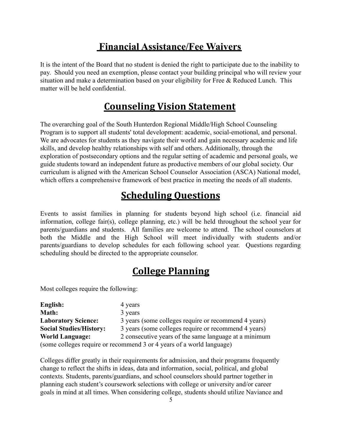# **Financial Assistance/Fee Waivers**

It is the intent of the Board that no student is denied the right to participate due to the inability to pay. Should you need an exemption, please contact your building principal who will review your situation and make a determination based on your eligibility for Free  $\&$  Reduced Lunch. This matter will be held confidential.

# **Counseling Vision Statement**

The overarching goal of the South Hunterdon Regional Middle/High School Counseling Program is to support all students' total development: academic, social-emotional, and personal. We are advocates for students as they navigate their world and gain necessary academic and life skills, and develop healthy relationships with self and others. Additionally, through the exploration of postsecondary options and the regular setting of academic and personal goals, we guide students toward an independent future as productive members of our global society. Our curriculum is aligned with the American School Counselor Association (ASCA) National model, which offers a comprehensive framework of best practice in meeting the needs of all students.

# **Scheduling Questions**

Events to assist families in planning for students beyond high school (i.e. financial aid information, college fair(s), college planning, etc.) will be held throughout the school year for parents/guardians and students. All families are welcome to attend. The school counselors at both the Middle and the High School will meet individually with students and/or parents/guardians to develop schedules for each following school year. Questions regarding scheduling should be directed to the appropriate counselor.

# **College Planning**

Most colleges require the following:

| English:                                                              | 4 years                                               |  |  |  |
|-----------------------------------------------------------------------|-------------------------------------------------------|--|--|--|
| Math:                                                                 | 3 years                                               |  |  |  |
| <b>Laboratory Science:</b>                                            | 3 years (some colleges require or recommend 4 years)  |  |  |  |
| <b>Social Studies/History:</b>                                        | 3 years (some colleges require or recommend 4 years)  |  |  |  |
| <b>World Language:</b>                                                | 2 consecutive years of the same language at a minimum |  |  |  |
| (some colleges require or recommend 3 or 4 years of a world language) |                                                       |  |  |  |

Colleges differ greatly in their requirements for admission, and their programs frequently change to reflect the shifts in ideas, data and information, social, political, and global contexts. Students, parents/guardians, and school counselors should partner together in planning each student's coursework selections with college or university and/or career goals in mind at all times. When considering college, students should utilize Naviance and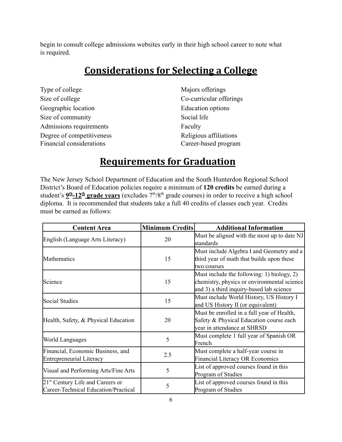begin to consult college admissions websites early in their high school career to note what is required.

# **Considerations for Selecting a College**

| Type of college           | Majors offerings        |
|---------------------------|-------------------------|
| Size of college           | Co-curricular offerings |
| Geographic location       | Education options       |
| Size of community         | Social life             |
| Admissions requirements   | Faculty                 |
| Degree of competitiveness | Religious affiliations  |
| Financial considerations  | Career-based program    |

# **Requirements for Graduation**

The New Jersey School Department of Education and the South Hunterdon Regional School District's Board of Education policies require a minimum of **120 credits** be earned during a student's  $9<sup>th</sup>$ –12<sup>th</sup> grade years (excludes 7<sup>th</sup>/8<sup>th</sup> grade courses) in order to receive a high school diploma. It is recommended that students take a full 40 credits of classes each year. Credits must be earned as follows:

| <b>Content Area</b>                          | <b>Minimum Credits</b> | <b>Additional Information</b>               |
|----------------------------------------------|------------------------|---------------------------------------------|
| English (Language Arts Literacy)             | 20                     | Must be aligned with the most up to date NJ |
|                                              |                        | standards                                   |
|                                              |                        | Must include Algebra I and Geometry and a   |
| Mathematics                                  | 15                     | third year of math that builds upon these   |
|                                              |                        | two courses                                 |
|                                              |                        | Must include the following: 1) biology, 2)  |
| Science                                      | 15                     | chemistry, physics or environmental science |
|                                              |                        | and 3) a third inquiry-based lab science    |
| Social Studies                               | 15                     | Must include World History, US History I    |
|                                              |                        | and US History II (or equivalent)           |
|                                              |                        | Must be enrolled in a full year of Health,  |
| Health, Safety, & Physical Education         | 20                     | Safety & Physical Education course each     |
|                                              |                        | year in attendance at SHRSD                 |
|                                              | 5                      | Must complete 1 full year of Spanish OR     |
| World Languages                              |                        | French                                      |
| Financial, Economic Business, and            | 2.5                    | Must complete a half-year course in         |
| <b>Entrepreneurial Literacy</b>              |                        | <b>Financial Literacy OR Economics</b>      |
|                                              |                        | List of approved courses found in this      |
| Visual and Performing Arts/Fine Arts         | 5                      | Program of Studies                          |
| 21 <sup>st</sup> Century Life and Careers or |                        | List of approved courses found in this      |
| Career-Technical Education/Practical         | 5                      | Program of Studies                          |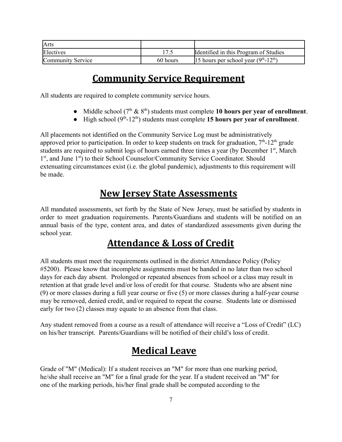| <b>Arts</b>       |          |                                       |
|-------------------|----------|---------------------------------------|
| Electives         |          | Identified in this Program of Studies |
| Community Service | 60 hours | 15 hours per school year $(9th-12th)$ |

# **Community Service Requirement**

All students are required to complete community service hours.

- Middle school  $(7^{\text{th}} \& 8^{\text{th}})$  students must complete 10 hours per year of enrollment.
- $\bullet$  High school ( $9<sup>th</sup>$ -12<sup>th</sup>) students must complete **15 hours per year of enrollment**.

All placements not identified on the Community Service Log must be administratively approved prior to participation. In order to keep students on track for graduation,  $7<sup>th</sup>$ -12<sup>th</sup> grade students are required to submit logs of hours earned three times a year (by December  $1<sup>st</sup>$ , March 1<sup>st</sup>, and June 1<sup>st</sup>) to their School Counselor/Community Service Coordinator. Should extenuating circumstances exist (i.e. the global pandemic), adjustments to this requirement will be made.

# **New Jersey State Assessments**

All mandated assessments, set forth by the State of New Jersey, must be satisfied by students in order to meet graduation requirements. Parents/Guardians and students will be notified on an annual basis of the type, content area, and dates of standardized assessments given during the school year.

# **Attendance & Loss of Credit**

All students must meet the requirements outlined in the district Attendance Policy (Policy #5200). Please know that incomplete assignments must be handed in no later than two school days for each day absent. Prolonged or repeated absences from school or a class may result in retention at that grade level and/or loss of credit for that course. Students who are absent nine (9) or more classes during a full year course or five (5) or more classes during a half-year course may be removed, denied credit, and/or required to repeat the course. Students late or dismissed early for two (2) classes may equate to an absence from that class.

Any student removed from a course as a result of attendance will receive a "Loss of Credit" (LC) on his/her transcript. Parents/Guardians will be notified of their child's loss of credit.

# **Medical Leave**

Grade of "M" (Medical): If a student receives an "M" for more than one marking period, he/she shall receive an "M" for a final grade for the year. If a student received an "M" for one of the marking periods, his/her final grade shall be computed according to the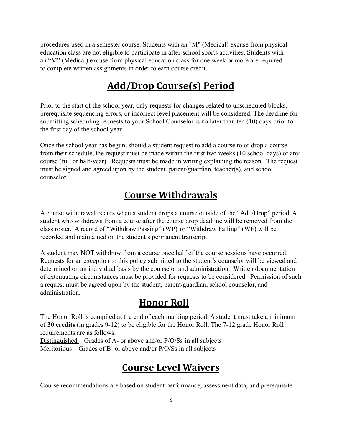procedures used in a semester course. Students with an "M" (Medical) excuse from physical education class are not eligible to participate in after-school sports activities. Students with an "M" (Medical) excuse from physical education class for one week or more are required to complete written assignments in order to earn course credit.

# **Add/Drop Course(s) Period**

Prior to the start of the school year, only requests for changes related to unscheduled blocks, prerequisite sequencing errors, or incorrect level placement will be considered. The deadline for submitting scheduling requests to your School Counselor is no later than ten (10) days prior to the first day of the school year.

Once the school year has begun, should a student request to add a course to or drop a course from their schedule, the request must be made within the first two weeks (10 school days) of any course (full or half-year). Requests must be made in writing explaining the reason. The request must be signed and agreed upon by the student, parent/guardian, teacher(s), and school counselor.

# **Course Withdrawals**

A course withdrawal occurs when a student drops a course outside of the "Add/Drop" period. A student who withdraws from a course after the course drop deadline will be removed from the class roster. A record of "Withdraw Passing" (WP) or "Withdraw Failing" (WF) will be recorded and maintained on the student's permanent transcript.

A student may NOT withdraw from a course once half of the course sessions have occurred. Requests for an exception to this policy submitted to the student's counselor will be viewed and determined on an individual basis by the counselor and administration. Written documentation of extenuating circumstances must be provided for requests to be considered. Permission of such a request must be agreed upon by the student, parent/guardian, school counselor, and administration.

# **Honor Roll**

The Honor Roll is compiled at the end of each marking period. A student must take a minimum of **30 credits** (in grades 9-12) to be eligible for the Honor Roll. The 7-12 grade Honor Roll requirements are as follows:

Distinguished – Grades of A- or above and/or P/O/Ss in all subjects Meritorious – Grades of B- or above and/or P/O/Ss in all subjects

# **Course Level Waivers**

Course recommendations are based on student performance, assessment data, and prerequisite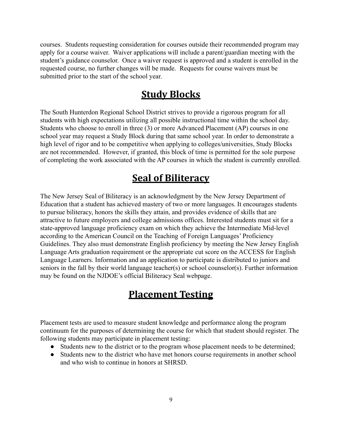courses. Students requesting consideration for courses outside their recommended program may apply for a course waiver. Waiver applications will include a parent/guardian meeting with the student's guidance counselor. Once a waiver request is approved and a student is enrolled in the requested course, no further changes will be made. Requests for course waivers must be submitted prior to the start of the school year.

## **Study Blocks**

The South Hunterdon Regional School District strives to provide a rigorous program for all students with high expectations utilizing all possible instructional time within the school day. Students who choose to enroll in three (3) or more Advanced Placement (AP) courses in one school year may request a Study Block during that same school year. In order to demonstrate a high level of rigor and to be competitive when applying to colleges/universities, Study Blocks are not recommended. However, if granted, this block of time is permitted for the sole purpose of completing the work associated with the AP courses in which the student is currently enrolled.

### **Seal of Biliteracy**

The New Jersey Seal of Biliteracy is an acknowledgment by the New Jersey Department of Education that a student has achieved mastery of two or more languages. It encourages students to pursue biliteracy, honors the skills they attain, and provides evidence of skills that are attractive to future employers and college admissions offices. Interested students must sit for a state-approved language proficiency exam on which they achieve the Intermediate Mid-level according to the American Council on the Teaching of Foreign Languages' Proficiency Guidelines. They also must demonstrate English proficiency by meeting the New Jersey English Language Arts graduation requirement or the appropriate cut score on the ACCESS for English Language Learners. Information and an application to participate is distributed to juniors and seniors in the fall by their world language teacher(s) or school counselor(s). Further information may be found on the NJDOE's official Biliteracy Seal webpage.

### **Placement Testing**

Placement tests are used to measure student knowledge and performance along the program continuum for the purposes of determining the course for which that student should register. The following students may participate in placement testing:

- Students new to the district or to the program whose placement needs to be determined;
- Students new to the district who have met honors course requirements in another school and who wish to continue in honors at SHRSD.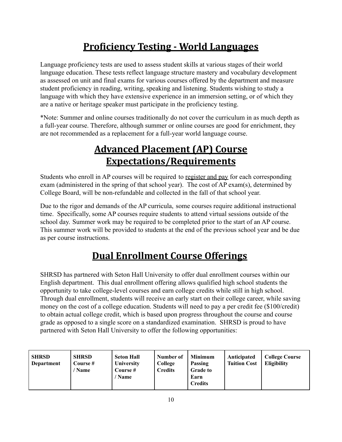# **Proficiency Testing - World Languages**

Language proficiency tests are used to assess student skills at various stages of their world language education. These tests reflect language structure mastery and vocabulary development as assessed on unit and final exams for various courses offered by the department and measure student proficiency in reading, writing, speaking and listening. Students wishing to study a language with which they have extensive experience in an immersion setting, or of which they are a native or heritage speaker must participate in the proficiency testing.

\*Note: Summer and online courses traditionally do not cover the curriculum in as much depth as a full-year course. Therefore, although summer or online courses are good for enrichment, they are not recommended as a replacement for a full-year world language course.

# **Advanced Placement (AP) Course Expectations/Requirements**

Students who enroll in AP courses will be required to register and pay for each corresponding exam (administered in the spring of that school year). The cost of AP exam(s), determined by College Board, will be non-refundable and collected in the fall of that school year.

Due to the rigor and demands of the AP curricula, some courses require additional instructional time. Specifically, some AP courses require students to attend virtual sessions outside of the school day. Summer work may be required to be completed prior to the start of an AP course. This summer work will be provided to students at the end of the previous school year and be due as per course instructions.

# **Dual Enrollment Course Offerings**

SHRSD has partnered with Seton Hall University to offer dual enrollment courses within our English department. This dual enrollment offering allows qualified high school students the opportunity to take college-level courses and earn college credits while still in high school. Through dual enrollment, students will receive an early start on their college career, while saving money on the cost of a college education. Students will need to pay a per credit fee (\$100/credit) to obtain actual college credit, which is based upon progress throughout the course and course grade as opposed to a single score on a standardized examination. SHRSD is proud to have partnered with Seton Hall University to offer the following opportunities:

| <b>SHRSD</b><br>Department | <b>SHRSD</b><br>Course #<br>/ Name | <b>Seton Hall</b><br><b>University</b><br>Course #<br>' Name | Number of<br>College<br><b>Credits</b> | <b>Minimum</b><br>Passing<br><b>Grade to</b><br>Earn<br><b>Credits</b> | Anticipated<br><b>Tuition Cost</b> | <b>College Course</b><br><b>Eligibility</b> |
|----------------------------|------------------------------------|--------------------------------------------------------------|----------------------------------------|------------------------------------------------------------------------|------------------------------------|---------------------------------------------|
|----------------------------|------------------------------------|--------------------------------------------------------------|----------------------------------------|------------------------------------------------------------------------|------------------------------------|---------------------------------------------|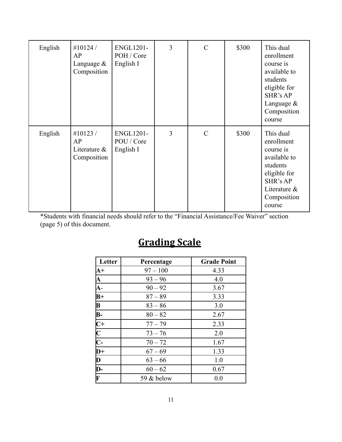| English | #10124 $/$<br>AP<br>Language $&$<br>Composition    | <b>ENGL1201-</b><br>POH / Core<br>English I | 3 | $\mathcal{C}$ | \$300 | This dual<br>enrollment<br>course is<br>available to<br>students<br>eligible for<br>SHR's AP<br>Language $&$<br>Composition<br>course |
|---------|----------------------------------------------------|---------------------------------------------|---|---------------|-------|---------------------------------------------------------------------------------------------------------------------------------------|
| English | #10123 $/$<br>AP<br>Literature $\&$<br>Composition | <b>ENGL1201-</b><br>POU / Core<br>English I | 3 | $\mathcal{C}$ | \$300 | This dual<br>enrollment<br>course is<br>available to<br>students<br>eligible for<br>SHR's AP<br>Literature &<br>Composition<br>course |

\*Students with financial needs should refer to the "Financial Assistance/Fee Waiver" section (page 5) of this document.

# **Grading Scale**

| Letter                                                                                    | Percentage | <b>Grade Point</b> |
|-------------------------------------------------------------------------------------------|------------|--------------------|
| $A+$                                                                                      | $97 - 100$ | 4.33               |
|                                                                                           | $93 - 96$  | 4.0                |
| $\frac{A}{A}$                                                                             | $90 - 92$  | 3.67               |
| $\overline{B+}$                                                                           | $87 - 89$  | 3.33               |
| $\mathbf{B}$                                                                              | $83 - 86$  | 3.0                |
|                                                                                           | $80 - 82$  | 2.67               |
|                                                                                           | $77 - 79$  | 2.33               |
| $\frac{\mathbf{B}}{\mathbf{C} + \mathbf{C}}$ $\frac{\mathbf{C}}{\mathbf{D} + \mathbf{D}}$ | $73 - 76$  | 2.0                |
|                                                                                           | $70 - 72$  | 1.67               |
|                                                                                           | $67 - 69$  | 1.33               |
| $\overline{\mathbf{D}}$                                                                   | $63 - 66$  | 1.0                |
| $\overline{\mathbf{D}}$ -                                                                 | $60 - 62$  | 0.67               |
| $\overline{\mathbf{F}}$                                                                   | 59 & below | 0.0                |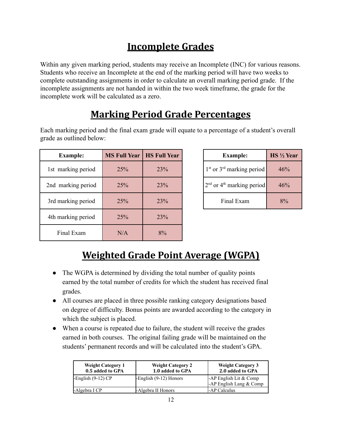# **Incomplete Grades**

Within any given marking period, students may receive an Incomplete *(INC)* for various reasons. Students who receive an Incomplete at the end of the marking period will have two weeks to complete outstanding assignments in order to calculate an overall marking period grade. If the incomplete assignments are not handed in within the two week timeframe, the grade for the incomplete work will be calculated as a zero.

# **Marking Period Grade Percentages**

Each marking period and the final exam grade will equate to a percentage of a student's overall grade as outlined below:

| <b>Example:</b>    | <b>MS Full Year</b> | <b>HS Full Year</b> | <b>Example:</b>                         | <b>HS</b> 1/2 Year |
|--------------------|---------------------|---------------------|-----------------------------------------|--------------------|
| 1st marking period | 25%                 | 23%                 | $1st$ or $3rd$ marking period           | 46%                |
| 2nd marking period | 25%                 | 23%                 | $2nd$ or 4 <sup>th</sup> marking period | 46%                |
| 3rd marking period | 25%                 | 23%                 | Final Exam                              | 8%                 |
| 4th marking period | 25%                 | 23%                 |                                         |                    |
| Final Exam         | N/A                 | 8%                  |                                         |                    |

| <b>Example:</b>               | $HS \frac{1}{2}$ Year |
|-------------------------------|-----------------------|
| $1st$ or $3rd$ marking period | 46%                   |
| $2nd$ or $4th$ marking period | 46%                   |
| Final Exam                    | $8\%$                 |

# **Weighted Grade Point Average (WGPA)**

- The WGPA is determined by dividing the total number of quality points earned by the total number of credits for which the student has received final grades.
- All courses are placed in three possible ranking category designations based on degree of difficulty. Bonus points are awarded according to the category in which the subject is placed.
- When a course is repeated due to failure, the student will receive the grades earned in both courses. The original failing grade will be maintained on the students' permanent records and will be calculated into the student's GPA.

| <b>Weight Category 1</b><br>0.5 added to GPA | <b>Weight Category 2</b><br>1.0 added to GPA | <b>Weight Category 3</b><br>2.0 added to GPA        |
|----------------------------------------------|----------------------------------------------|-----------------------------------------------------|
| $-$ English (9-12) CP                        | English (9-12) Honors                        | -AP English Lit & Comp<br>-AP English Lang $& Comp$ |
| -Algebra I CP                                | -Algebra II Honors                           | <b>-AP Calculus</b>                                 |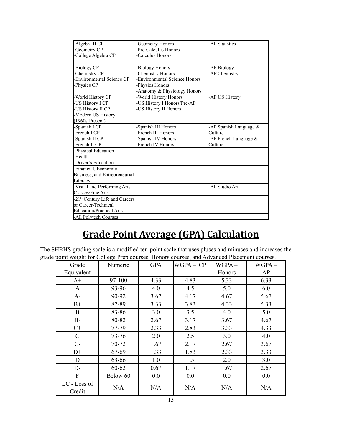| -Algebra II CP                             | -Geometry Honors             | -AP Statistics         |
|--------------------------------------------|------------------------------|------------------------|
| -Geometry CP                               | Pre-Calculus Honors          |                        |
| -College Algebra CP                        | Calculus Honors              |                        |
|                                            |                              |                        |
| -Biology CP                                | -Biology Honors              | -AP Biology            |
| -Chemistry CP                              | Chemistry Honors             | -AP Chemistry          |
| -Environmental Science CP                  | Environmental Science Honors |                        |
| -Physics CP                                | -Physics Honors              |                        |
|                                            | Anatomy & Physiology Honors  |                        |
| -World History CP                          | -World History Honors        | -AP US History         |
| -US History I CP                           | -US History I Honors/Pre-AP  |                        |
| -US History II CP                          | -US History II Honors        |                        |
| -Modern US History                         |                              |                        |
| $(1960s-Present)$                          |                              |                        |
| -Spanish I CP                              | Spanish III Honors           | -AP Spanish Language & |
| -French I CP                               | -French III Honors           | Culture                |
| -Spanish II CP                             | Spanish IV Honors            | -AP French Language &  |
| -French II CP                              | French IV Honors             | Culture                |
| -Physical Education                        |                              |                        |
| -Health                                    |                              |                        |
| -Driver's Education                        |                              |                        |
| -Financial, Economic                       |                              |                        |
| Business, and Entrepreneurial              |                              |                        |
| Literacy                                   |                              |                        |
| -Visual and Performing Arts                |                              | -AP Studio Art         |
| Classes/Fine Arts                          |                              |                        |
| -21 <sup>st</sup> Century Life and Careers |                              |                        |
| or Career-Technical                        |                              |                        |
| <b>Education/Practical Arts</b>            |                              |                        |
| -All Polytech Courses                      |                              |                        |
|                                            |                              |                        |

# **Grade Point Average (GPA) Calculation**

The SHRHS grading scale is a modified ten-point scale that uses pluses and minuses and increases the grade point weight for College Prep courses, Honors courses, and Advanced Placement courses.

| Grade                  | Numeric  | <b>GPA</b> | WGPA – CP | $WGPA -$ | $WGPA -$ |
|------------------------|----------|------------|-----------|----------|----------|
| Equivalent             |          |            |           | Honors   | AP       |
| $A+$                   | 97-100   | 4.33       | 4.83      | 5.33     | 6.33     |
| A                      | 93-96    | 4.0        | 4.5       | 5.0      | 6.0      |
| $A-$                   | 90-92    | 3.67       | 4.17      | 4.67     | 5.67     |
| $B+$                   | 87-89    | 3.33       | 3.83      | 4.33     | 5.33     |
| B                      | 83-86    | 3.0        | 3.5       | 4.0      | 5.0      |
| $B-$                   | 80-82    | 2.67       | 3.17      | 3.67     | 4.67     |
| $C+$                   | 77-79    | 2.33       | 2.83      | 3.33     | 4.33     |
| $\mathcal{C}$          | 73-76    | 2.0        | 2.5       | 3.0      | 4.0      |
| $C-$                   | 70-72    | 1.67       | 2.17      | 2.67     | 3.67     |
| $D+$                   | 67-69    | 1.33       | 1.83      | 2.33     | 3.33     |
| D                      | 63-66    | 1.0        | 1.5       | 2.0      | 3.0      |
| $D-$                   | 60-62    | 0.67       | 1.17      | 1.67     | 2.67     |
| F                      | Below 60 | 0.0        | 0.0       | 0.0      | 0.0      |
| LC - Loss of<br>Credit | N/A      | N/A        | N/A       | N/A      | N/A      |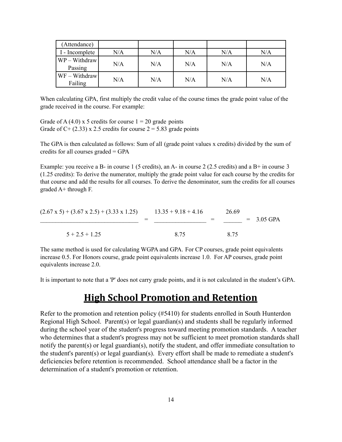| (Attendance)             |     |     |     |     |     |
|--------------------------|-----|-----|-----|-----|-----|
| I - Incomplete           | N/A | N/A | N/A | N/A | N/A |
| WP - Withdraw<br>Passing | N/A | N/A | N/A | N/A | N/A |
| WF - Withdraw<br>Failing | N/A | N/A | N/A | N/A | N/A |

When calculating GPA, first multiply the credit value of the course times the grade point value of the grade received in the course. For example:

Grade of A (4.0) x 5 credits for course  $1 = 20$  grade points Grade of C+ (2.33) x 2.5 credits for course  $2 = 5.83$  grade points

The GPA is then calculated as follows: Sum of all (grade point values x credits) divided by the sum of credits for all courses graded = GPA

Example: you receive a B- in course 1 (5 credits), an A- in course 2 (2.5 credits) and a B+ in course 3 (1.25 credits): To derive the numerator, multiply the grade point value for each course by the credits for that course and add the results for all courses. To derive the denominator, sum the credits for all courses graded A+ through F.

| $(2.67 \times 5) + (3.67 \times 2.5) + (3.33 \times 1.25)$ | $13.35 + 9.18 + 4.16$ | 26.69 |              |
|------------------------------------------------------------|-----------------------|-------|--------------|
|                                                            |                       |       | $= 3.05$ GPA |
| $5 + 2.5 + 1.25$                                           | 8.75                  | 8.75  |              |

The same method is used for calculating WGPA and GPA. For CP courses, grade point equivalents increase 0.5. For Honors course, grade point equivalents increase 1.0. For AP courses, grade point equivalents increase 2.0.

It is important to note that a 'P' does not carry grade points, and it is not calculated in the student's GPA.

### **High School Promotion and Retention**

Refer to the promotion and retention policy (#5410) for students enrolled in South Hunterdon Regional High School. Parent(s) or legal guardian(s) and students shall be regularly informed during the school year of the student's progress toward meeting promotion standards. A teacher who determines that a student's progress may not be sufficient to meet promotion standards shall notify the parent(s) or legal guardian(s), notify the student, and offer immediate consultation to the student's parent(s) or legal guardian(s). Every effort shall be made to remediate a student's deficiencies before retention is recommended. School attendance shall be a factor in the determination of a student's promotion or retention.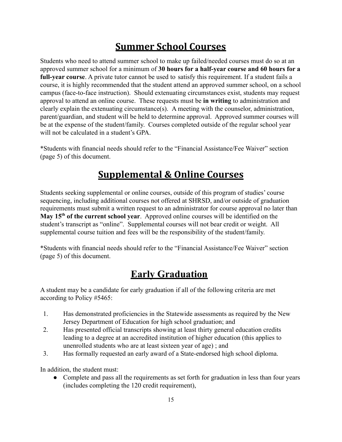# **Summer School Courses**

Students who need to attend summer school to make up failed/needed courses must do so at an approved summer school for a minimum of **30 hours for a half-year course and 60 hours for a full-year course**. A private tutor cannot be used to satisfy this requirement. If a student fails a course, it is highly recommended that the student attend an approved summer school, on a school campus (face-to-face instruction). Should extenuating circumstances exist, students may request approval to attend an online course. These requests must be **in writing** to administration and clearly explain the extenuating circumstance(s). A meeting with the counselor, administration, parent/guardian, and student will be held to determine approval. Approved summer courses will be at the expense of the student/family. Courses completed outside of the regular school year will not be calculated in a student's GPA.

\*Students with financial needs should refer to the "Financial Assistance/Fee Waiver" section (page 5) of this document.

# **Supplemental & Online Courses**

Students seeking supplemental or online courses, outside of this program of studies' course sequencing, including additional courses not offered at SHRSD, and/or outside of graduation requirements must submit a written request to an administrator for course approval no later than **May 15th of the current school year**. Approved online courses will be identified on the student's transcript as "online". Supplemental courses will not bear credit or weight. All supplemental course tuition and fees will be the responsibility of the student/family.

\*Students with financial needs should refer to the "Financial Assistance/Fee Waiver" section (page 5) of this document.

# **Early Graduation**

A student may be a candidate for early graduation if all of the following criteria are met according to Policy #5465:

- 1. Has demonstrated proficiencies in the Statewide assessments as required by the New Jersey Department of Education for high school graduation; and
- 2. Has presented official transcripts showing at least thirty general education credits leading to a degree at an accredited institution of higher education (this applies to unenrolled students who are at least sixteen year of age) ; and
- 3. Has formally requested an early award of a State-endorsed high school diploma.

In addition, the student must:

Complete and pass all the requirements as set forth for graduation in less than four years (includes completing the 120 credit requirement),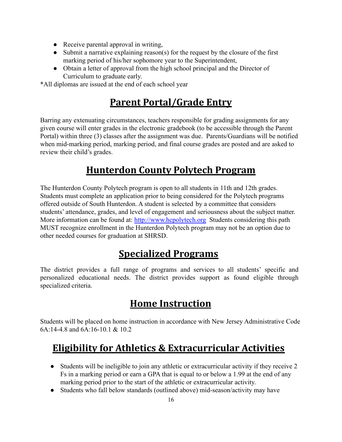- Receive parental approval in writing,
- Submit a narrative explaining reason(s) for the request by the closure of the first marking period of his/her sophomore year to the Superintendent,
- Obtain a letter of approval from the high school principal and the Director of Curriculum to graduate early.

\*All diplomas are issued at the end of each school year

# **Parent Portal/Grade Entry**

Barring any extenuating circumstances, teachers responsible for grading assignments for any given course will enter grades in the electronic gradebook (to be accessible through the Parent Portal) within three (3) classes after the assignment was due. Parents/Guardians will be notified when mid-marking period, marking period, and final course grades are posted and are asked to review their child's grades.

# **Hunterdon County Polytech Program**

The Hunterdon County Polytech program is open to all students in 11th and 12th grades. Students must complete an application prior to being considered for the Polytech programs offered outside of South Hunterdon. A student is selected by a committee that considers students' attendance, grades, and level of engagement and seriousness about the subject matter. More information can be found at: <http://www.hcpolytech.org> Students considering this path MUST recognize enrollment in the Hunterdon Polytech program may not be an option due to other needed courses for graduation at SHRSD.

# **Specialized Programs**

The district provides a full range of programs and services to all students' specific and personalized educational needs. The district provides support as found eligible through specialized criteria.

# **Home Instruction**

Students will be placed on home instruction in accordance with New Jersey Administrative Code 6A:14-4.8 and 6A:16-10.1 & 10.2

# **Eligibility for Athletics & Extracurricular Activities**

- Students will be ineligible to join any athletic or extracurricular activity if they receive 2 Fs in a marking period or earn a GPA that is equal to or below a 1.99 at the end of any marking period prior to the start of the athletic or extracurricular activity.
- Students who fall below standards (outlined above) mid-season/activity may have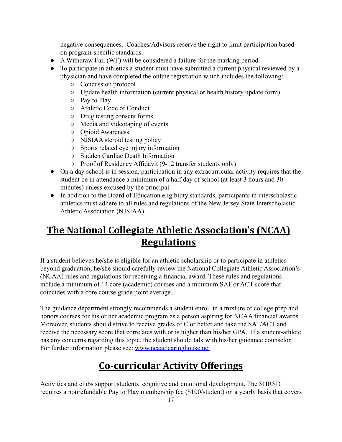negative consequences. Coaches/Advisors reserve the right to limit participation based on program-specific standards.

- A Withdraw Fail (WF) will be considered a failure for the marking period.
- To participate in athletics a student must have submitted a current physical reviewed by a physician and have completed the online registration which includes the following:
	- Concussion protocol
	- Update health information (current physical or health history update form)
	- Pay to Play
	- Athletic Code of Conduct
	- Drug testing consent forms
	- Media and videotaping of events
	- Opioid Awareness
	- NJSIAA steroid testing policy
	- Sports related eye injury information
	- Sudden Cardiac Death Information
	- Proof of Residency Affidavit (9-12 transfer students only)
- On a day school is in session, participation in any extracurricular activity requires that the student be in attendance a minimum of a half day of school (at least 3 hours and 30 minutes) unless excused by the principal.
- In addition to the Board of Education eligibility standards, participants in interscholastic athletics must adhere to all rules and regulations of the New Jersey State Interscholastic Athletic Association (NJSIAA).

# **The National Collegiate Athletic Association's (NCAA) Regulations**

If a student believes he/she is eligible for an athletic scholarship or to participate in athletics beyond graduation, he/she should carefully review the National Collegiate Athletic Association's (NCAA) rules and regulations for receiving a financial award. These rules and regulations include a minimum of 14 core (academic) courses and a minimum SAT or ACT score that coincides with a core course grade point average.

The guidance department strongly recommends a student enroll in a mixture of college prep and honors courses for his or her academic program as a person aspiring for NCAA financial awards. Moreover, students should strive to receive grades of C or better and take the SAT/ACT and receive the necessary score that correlates with or is higher than his/her GPA. If a student-athlete has any concerns regarding this topic, the student should talk with his/her guidance counselor. For further information please see: [www.ncaaclearinghouse.net](http://www.ncaaclearinghouse.net)

# **Co-curricular Activity Offerings**

Activities and clubs support students' cognitive and emotional development. The SHRSD requires a nonrefundable Pay to Play membership fee (\$100/student) on a yearly basis that covers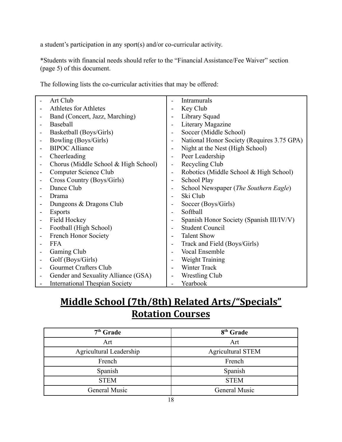a student's participation in any sport(s) and/or co-curricular activity.

\*Students with financial needs should refer to the "Financial Assistance/Fee Waiver" section (page 5) of this document.

The following lists the co-curricular activities that may be offered:

| Art Club                              |                              | Intramurals                                |
|---------------------------------------|------------------------------|--------------------------------------------|
| Athletes for Athletes                 | ۰                            | Key Club                                   |
| Band (Concert, Jazz, Marching)        | $\overline{\phantom{0}}$     | Library Squad                              |
| Baseball                              | $\qquad \qquad -$            | Literary Magazine                          |
| Basketball (Boys/Girls)               | $\overline{\phantom{a}}$     | Soccer (Middle School)                     |
| Bowling (Boys/Girls)                  | $\overline{\phantom{a}}$     | National Honor Society (Requires 3.75 GPA) |
| <b>BIPOC</b> Alliance                 | $\overline{\phantom{a}}$     | Night at the Nest (High School)            |
| Cheerleading                          | $\overline{\phantom{a}}$     | Peer Leadership                            |
| Chorus (Middle School & High School)  | $\overline{\phantom{a}}$     | Recycling Club                             |
| Computer Science Club                 | $\overline{\phantom{a}}$     | Robotics (Middle School & High School)     |
| Cross Country (Boys/Girls)            | $\qquad \qquad \blacksquare$ | School Play                                |
| Dance Club                            | $\overline{\phantom{a}}$     | School Newspaper (The Southern Eagle)      |
| Drama                                 |                              | Ski Club                                   |
| Dungeons & Dragons Club               | $\overline{\phantom{a}}$     | Soccer (Boys/Girls)                        |
| <b>Esports</b>                        | $\overline{\phantom{0}}$     | Softball                                   |
| Field Hockey                          | $\qquad \qquad -$            | Spanish Honor Society (Spanish III/IV/V)   |
| Football (High School)                | $\blacksquare$               | <b>Student Council</b>                     |
| French Honor Society                  | $\overline{\phantom{0}}$     | <b>Talent Show</b>                         |
| <b>FFA</b>                            | $\overline{a}$               | Track and Field (Boys/Girls)               |
| Gaming Club                           | $\qquad \qquad -$            | <b>Vocal Ensemble</b>                      |
| Golf (Boys/Girls)                     | $\overline{\phantom{a}}$     | Weight Training                            |
| Gourmet Crafters Club                 |                              | Winter Track                               |
| Gender and Sexuality Alliance (GSA)   | $\overline{\phantom{a}}$     | <b>Wrestling Club</b>                      |
| <b>International Thespian Society</b> |                              | Yearbook                                   |

# **Middle School (7th/8th) Related Arts/"Specials" Rotation Courses**

| $7th$ Grade             | 8 <sup>th</sup> Grade    |
|-------------------------|--------------------------|
| Art                     | Art                      |
| Agricultural Leadership | <b>Agricultural STEM</b> |
| French                  | French                   |
| Spanish                 | Spanish                  |
| <b>STEM</b>             | <b>STEM</b>              |
| General Music           | General Music            |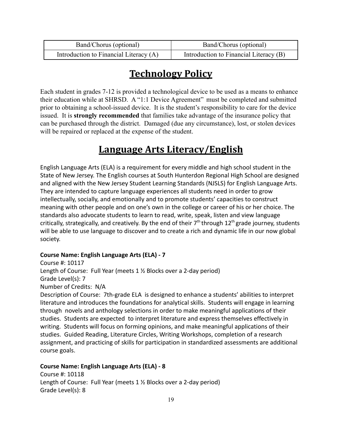| Band/Chorus (optional)                 | Band/Chorus (optional)                 |
|----------------------------------------|----------------------------------------|
| Introduction to Financial Literacy (A) | Introduction to Financial Literacy (B) |

# **Technology Policy**

Each student in grades 7-12 is provided a technological device to be used as a means to enhance their education while at SHRSD. A "1:1 Device Agreement" must be completed and submitted prior to obtaining a school-issued device. It is the student's responsibility to care for the device issued. It is **strongly recommended** that families take advantage of the insurance policy that can be purchased through the district. Damaged (due any circumstance), lost, or stolen devices will be repaired or replaced at the expense of the student.

# **Language Arts Literacy/English**

English Language Arts (ELA) is a requirement for every middle and high school student in the State of New Jersey. The English courses at South Hunterdon Regional High School are designed and aligned with the New Jersey Student Learning Standards (NJSLS) for English Language Arts. They are intended to capture language experiences all students need in order to grow intellectually, socially, and emotionally and to promote students' capacities to construct meaning with other people and on one's own in the college or career of his or her choice. The standards also advocate students to learn to read, write, speak, listen and view language critically, strategically, and creatively. By the end of their 7<sup>th</sup> through 12<sup>th</sup> grade journey, students will be able to use language to discover and to create a rich and dynamic life in our now global society.

### **Course Name: English Language Arts (ELA) - 7**

Course #: 10117 Length of Course: Full Year (meets 1 ½ Blocks over a 2-day period) Grade Level(s): 7 Number of Credits: N/A Description of Course: 7th-grade ELA is designed to enhance a students' abilities to interpret literature and introduces the foundations for analytical skills. Students will engage in learning through novels and anthology selections in order to make meaningful applications of their studies. Students are expected to interpret literature and express themselves effectively in writing. Students will focus on forming opinions, and make meaningful applications of their studies. Guided Reading, Literature Circles, Writing Workshops, completion of a research assignment, and practicing of skills for participation in standardized assessments are additional course goals.

### **Course Name: English Language Arts (ELA) - 8**

Course #: 10118 Length of Course: Full Year (meets 1 ½ Blocks over a 2-day period) Grade Level(s): 8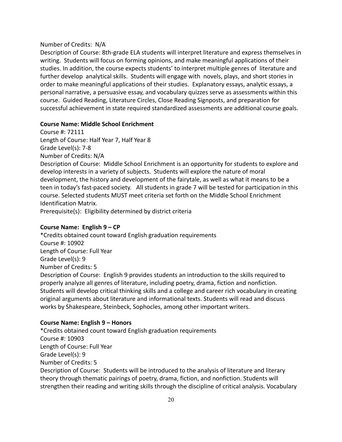#### Number of Credits: N/A

Description of Course: 8th-grade ELA students will interpret literature and express themselves in writing. Students will focus on forming opinions, and make meaningful applications of their studies. In addition, the course expects students' to interpret multiple genres of literature and further develop analytical skills. Students will engage with novels, plays, and short stories in order to make meaningful applications of their studies. Explanatory essays, analytic essays, a personal narrative, a persuasive essay, and vocabulary quizzes serve as assessments within this course. Guided Reading, Literature Circles, Close Reading Signposts, and preparation for successful achievement in state required standardized assessments are additional course goals.

#### **Course Name: Middle School Enrichment**

Course #: 72111 Length of Course: Half Year 7, Half Year 8 Grade Level(s): 7-8

Number of Credits: N/A

Description of Course: Middle School Enrichment is an opportunity for students to explore and develop interests in a variety of subjects. Students will explore the nature of moral development, the history and development of the fairytale, as well as what it means to be a teen in today's fast-paced society. All students in grade 7 will be tested for participation in this course. Selected students MUST meet criteria set forth on the Middle School Enrichment Identification Matrix.

Prerequisite(s): Eligibility determined by district criteria

#### **Course Name: English 9 – CP**

\*Credits obtained count toward English graduation requirements Course #: 10902 Length of Course: Full Year Grade Level(s): 9 Number of Credits: 5 Description of Course: English 9 provides students an introduction to the skills required to properly analyze all genres of literature, including poetry, drama, fiction and nonfiction. Students will develop critical thinking skills and a college and career rich vocabulary in creating original arguments about literature and informational texts. Students will read and discuss works by Shakespeare, Steinbeck, Sophocles, among other important writers.

#### **Course Name: English 9 – Honors**

\*Credits obtained count toward English graduation requirements Course #: 10903 Length of Course: Full Year Grade Level(s): 9 Number of Credits: 5 Description of Course: Students will be introduced to the analysis of literature and literary theory through thematic pairings of poetry, drama, fiction, and nonfiction. Students will strengthen their reading and writing skills through the discipline of critical analysis. Vocabulary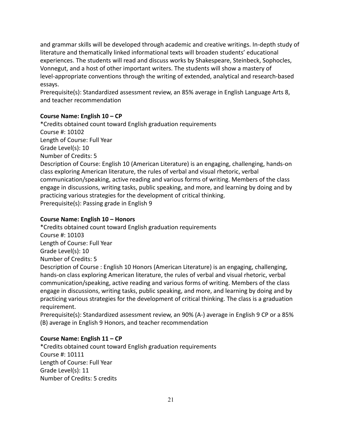and grammar skills will be developed through academic and creative writings. In-depth study of literature and thematically linked informational texts will broaden students' educational experiences. The students will read and discuss works by Shakespeare, Steinbeck, Sophocles, Vonnegut, and a host of other important writers. The students will show a mastery of level-appropriate conventions through the writing of extended, analytical and research-based essays.

Prerequisite(s): Standardized assessment review, an 85% average in English Language Arts 8, and teacher recommendation

### **Course Name: English 10 – CP**

\*Credits obtained count toward English graduation requirements Course #: 10102 Length of Course: Full Year Grade Level(s): 10 Number of Credits: 5 Description of Course: English 10 (American Literature) is an engaging, challenging, hands-on class exploring American literature, the rules of verbal and visual rhetoric, verbal communication/speaking, active reading and various forms of writing. Members of the class engage in discussions, writing tasks, public speaking, and more, and learning by doing and by practicing various strategies for the development of critical thinking. Prerequisite(s): Passing grade in English 9

### **Course Name: English 10 – Honors**

\*Credits obtained count toward English graduation requirements Course #: 10103 Length of Course: Full Year Grade Level(s): 10 Number of Credits: 5 Description of Course : English 10 Honors (American Literature) is an engaging, challenging, hands-on class exploring American literature, the rules of verbal and visual rhetoric, verbal communication/speaking, active reading and various forms of writing. Members of the class engage in discussions, writing tasks, public speaking, and more, and learning by doing and by practicing various strategies for the development of critical thinking. The class is a graduation requirement.

Prerequisite(s): Standardized assessment review, an 90% (A-) average in English 9 CP or a 85% (B) average in English 9 Honors, and teacher recommendation

### **Course Name: English 11 – CP**

\*Credits obtained count toward English graduation requirements Course #: 10111 Length of Course: Full Year Grade Level(s): 11 Number of Credits: 5 credits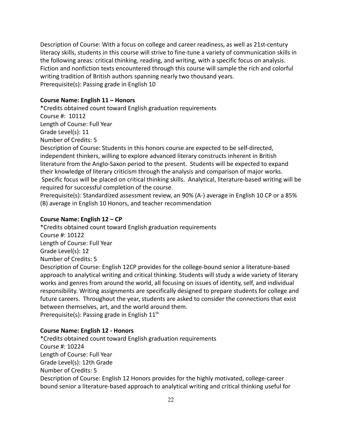Description of Course: With a focus on college and career readiness, as well as 21st-century literacy skills, students in this course will strive to fine-tune a variety of communication skills in the following areas: critical thinking, reading, and writing, with a specific focus on analysis. Fiction and nonfiction texts encountered through this course will sample the rich and colorful writing tradition of British authors spanning nearly two thousand years. Prerequisite(s): Passing grade in English 10

#### **Course Name: English 11 – Honors**

\*Credits obtained count toward English graduation requirements Course #: 10112 Length of Course: Full Year Grade Level(s): 11 Number of Credits: 5 Description of Course: Students in this honors course are expected to be self-directed, independent thinkers, willing to explore advanced literary constructs inherent in British literature from the Anglo-Saxon period to the present. Students will be expected to expand their knowledge of literary criticism through the analysis and comparison of major works. Specific focus will be placed on critical thinking skills. Analytical, literature-based writing will be required for successful completion of the course.

Prerequisite(s): Standardized assessment review, an 90% (A-) average in English 10 CP or a 85% (B) average in English 10 Honors, and teacher recommendation

#### **Course Name: English 12 – CP**

\*Credits obtained count toward English graduation requirements Course #: 10122 Length of Course: Full Year Grade Level(s): 12 Number of Credits: 5 Description of Course: English 12CP provides for the college-bound senior a literature-based approach to analytical writing and critical thinking. Students will study a wide variety of literary works and genres from around the world, all focusing on issues of identity, self, and individual responsibility. Writing assignments are specifically designed to prepare students for college and future careers. Throughout the year, students are asked to consider the connections that exist between themselves, art, and the world around them. Prerequisite(s): Passing grade in English  $11<sup>th</sup>$ 

### **Course Name: English 12 - Honors**

\*Credits obtained count toward English graduation requirements Course #: 10224 Length of Course: Full Year Grade Level(s): 12th Grade Number of Credits: 5 Description of Course: English 12 Honors provides for the highly motivated, college-career bound senior a literature-based approach to analytical writing and critical thinking useful for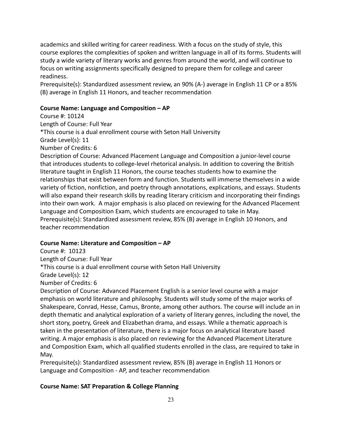academics and skilled writing for career readiness. With a focus on the study of style, this course explores the complexities of spoken and written language in all of its forms. Students will study a wide variety of literary works and genres from around the world, and will continue to focus on writing assignments specifically designed to prepare them for college and career readiness.

Prerequisite(s): Standardized assessment review, an 90% (A-) average in English 11 CP or a 85% (B) average in English 11 Honors, and teacher recommendation

### **Course Name: Language and Composition – AP**

Course #: 10124 Length of Course: Full Year \*This course is a dual enrollment course with Seton Hall University Grade Level(s): 11 Number of Credits: 6

Description of Course: Advanced Placement Language and Composition a junior-level course that introduces students to college-level rhetorical analysis. In addition to covering the British literature taught in English 11 Honors, the course teaches students how to examine the relationships that exist between form and function. Students will immerse themselves in a wide variety of fiction, nonfiction, and poetry through annotations, explications, and essays. Students will also expand their research skills by reading literary criticism and incorporating their findings into their own work. A major emphasis is also placed on reviewing for the Advanced Placement Language and Composition Exam, which students are encouraged to take in May. Prerequisite(s): Standardized assessment review, 85% (B) average in English 10 Honors, and teacher recommendation

### **Course Name: Literature and Composition – AP**

Course #: 10123

Length of Course: Full Year

\*This course is a dual enrollment course with Seton Hall University

Grade Level(s): 12

Number of Credits: 6

Description of Course: Advanced Placement English is a senior level course with a major emphasis on world literature and philosophy. Students will study some of the major works of Shakespeare, Conrad, Hesse, Camus, Bronte, among other authors. The course will include an in depth thematic and analytical exploration of a variety of literary genres, including the novel, the short story, poetry, Greek and Elizabethan drama, and essays. While a thematic approach is taken in the presentation of literature, there is a major focus on analytical literature based writing. A major emphasis is also placed on reviewing for the Advanced Placement Literature and Composition Exam, which all qualified students enrolled in the class, are required to take in May.

Prerequisite(s): Standardized assessment review, 85% (B) average in English 11 Honors or Language and Composition - AP, and teacher recommendation

#### **Course Name: SAT Preparation & College Planning**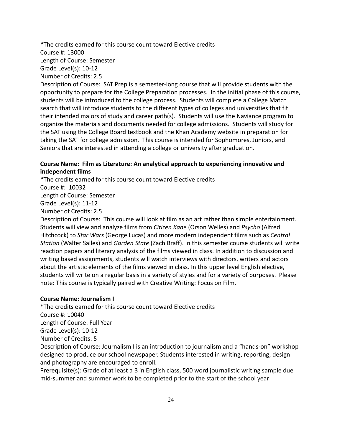\*The credits earned for this course count toward Elective credits Course #: 13000 Length of Course: Semester Grade Level(s): 10-12 Number of Credits: 2.5 Description of Course: SAT Prep is a semester-long course that will provide students with the opportunity to prepare for the College Preparation processes. In the initial phase of this course, students will be introduced to the college process. Students will complete a College Match search that will introduce students to the different types of colleges and universities that fit

their intended majors of study and career path(s). Students will use the Naviance program to organize the materials and documents needed for college admissions. Students will study for the SAT using the College Board textbook and the Khan Academy website in preparation for taking the SAT for college admission. This course is intended for Sophomores, Juniors, and Seniors that are interested in attending a college or university after graduation.

### **Course Name: Film as Literature: An analytical approach to experiencing innovative and independent films**

\*The credits earned for this course count toward Elective credits Course #: 10032 Length of Course: Semester Grade Level(s): 11-12 Number of Credits: 2.5 Description of Course: This course will look at film as an art rather than simple entertainment.

Students will view and analyze films from *Citizen Kane* (Orson Welles) and *Psycho* (Alfred Hitchcock) to *Star Wars* (George Lucas) and more modern independent films such as *Central Station* (Walter Salles) and *Garden State* (Zach Braff). In this semester course students will write reaction papers and literary analysis of the films viewed in class. In addition to discussion and writing based assignments, students will watch interviews with directors, writers and actors about the artistic elements of the films viewed in class. In this upper level English elective, students will write on a regular basis in a variety of styles and for a variety of purposes. Please note: This course is typically paired with Creative Writing: Focus on Film.

### **Course Name: Journalism I**

\*The credits earned for this course count toward Elective credits Course #: 10040 Length of Course: Full Year Grade Level(s): 10-12 Number of Credits: 5 Description of Course: Journalism I is an introduction to journalism and a "hands-on" workshop

designed to produce our school newspaper. Students interested in writing, reporting, design and photography are encouraged to enroll.

Prerequisite(s): Grade of at least a B in English class, 500 word journalistic writing sample due mid-summer and summer work to be completed prior to the start of the school year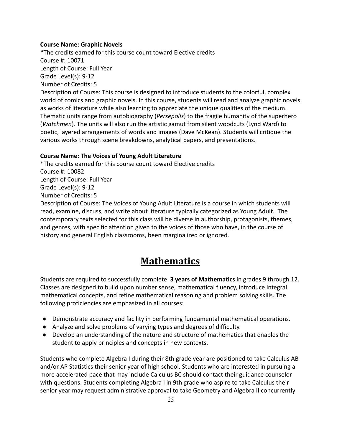### **Course Name: Graphic Novels**

\*The credits earned for this course count toward Elective credits Course #: 10071 Length of Course: Full Year Grade Level(s): 9-12 Number of Credits: 5 Description of Course: This course is designed to introduce students to the colorful, complex world of comics and graphic novels. In this course, students will read and analyze graphic novels as works of literature while also learning to appreciate the unique qualities of the medium. Thematic units range from autobiography (*Persepolis*) to the fragile humanity of the superhero (*Watchmen*). The units will also run the artistic gamut from silent woodcuts (Lynd Ward) to poetic, layered arrangements of words and images (Dave McKean). Students will critique the various works through scene breakdowns, analytical papers, and presentations.

### **Course Name: The Voices of Young Adult Literature**

\*The credits earned for this course count toward Elective credits Course #: 10082 Length of Course: Full Year Grade Level(s): 9-12 Number of Credits: 5 Description of Course: The Voices of Young Adult Literature is a course in which students will read, examine, discuss, and write about literature typically categorized as Young Adult. The contemporary texts selected for this class will be diverse in authorship, protagonists, themes, and genres, with specific attention given to the voices of those who have, in the course of history and general English classrooms, been marginalized or ignored.

# **Mathematics**

Students are required to successfully complete **3 years of Mathematics** in grades 9 through 12. Classes are designed to build upon number sense, mathematical fluency, introduce integral mathematical concepts, and refine mathematical reasoning and problem solving skills. The following proficiencies are emphasized in all courses:

- Demonstrate accuracy and facility in performing fundamental mathematical operations.
- Analyze and solve problems of varying types and degrees of difficulty.
- Develop an understanding of the nature and structure of mathematics that enables the student to apply principles and concepts in new contexts.

Students who complete Algebra I during their 8th grade year are positioned to take Calculus AB and/or AP Statistics their senior year of high school. Students who are interested in pursuing a more accelerated pace that may include Calculus BC should contact their guidance counselor with questions. Students completing Algebra I in 9th grade who aspire to take Calculus their senior year may request administrative approval to take Geometry and Algebra II concurrently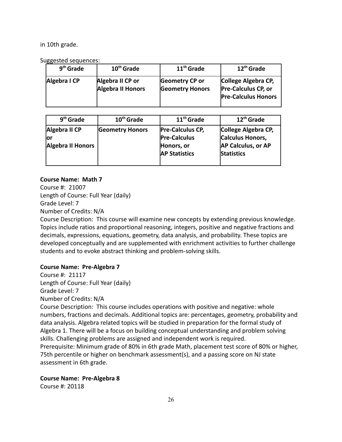in 10th grade.

Suggested sequences:

| - 00         |                                              |                                          |                                                                          |
|--------------|----------------------------------------------|------------------------------------------|--------------------------------------------------------------------------|
| $9th$ Grade  | 10 <sup>th</sup> Grade                       | 11 <sup>th</sup> Grade                   | 12 <sup>th</sup> Grade                                                   |
| Algebra I CP | Algebra II CP or<br><b>Algebra II Honors</b> | Geometry CP or<br><b>Geometry Honors</b> | College Algebra CP,<br>Pre-Calculus CP, or<br><b>Pre-Calculus Honors</b> |

| $9th$ Grade                                      | $10th$ Grade           | 11 <sup>th</sup> Grade                                                               | 12 <sup>th</sup> Grade                                                             |
|--------------------------------------------------|------------------------|--------------------------------------------------------------------------------------|------------------------------------------------------------------------------------|
| Algebra II CP<br>lor<br><b>Algebra II Honors</b> | <b>Geometry Honors</b> | <b>Pre-Calculus CP,</b><br><b>Pre-Calculus</b><br>Honors, or<br><b>AP Statistics</b> | College Algebra CP,<br>Calculus Honors,<br>AP Calculus, or AP<br><b>Statistics</b> |

### **Course Name: Math 7**

Course #: 21007 Length of Course: Full Year (daily) Grade Level: 7 Number of Credits: N/A

Course Description: This course will examine new concepts by extending previous knowledge. Topics include ratios and proportional reasoning, integers, positive and negative fractions and decimals, expressions, equations, geometry, data analysis, and probability. These topics are developed conceptually and are supplemented with enrichment activities to further challenge students and to evoke abstract thinking and problem-solving skills.

### **Course Name: Pre-Algebra 7**

Course #: 21117 Length of Course: Full Year (daily) Grade Level: 7

Number of Credits: N/A

Course Description: This course includes operations with positive and negative: whole numbers, fractions and decimals. Additional topics are: percentages, geometry, probability and data analysis. Algebra related topics will be studied in preparation for the formal study of Algebra 1. There will be a focus on building conceptual understanding and problem solving skills. Challenging problems are assigned and independent work is required. Prerequisite: Minimum grade of 80% in 6th grade Math, placement test score of 80% or higher, 75th percentile or higher on benchmark assessment(s), and a passing score on NJ state assessment in 6th grade.

**Course Name: Pre-Algebra 8**

Course #: 20118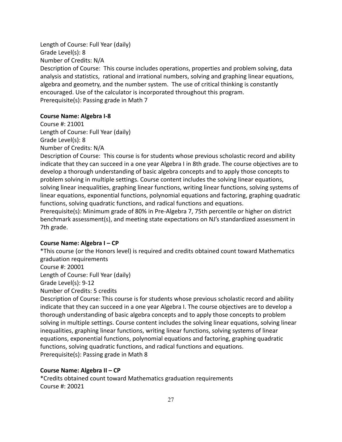Length of Course: Full Year (daily) Grade Level(s): 8 Number of Credits: N/A Description of Course: This course includes operations, properties and problem solving, data analysis and statistics, rational and irrational numbers, solving and graphing linear equations, algebra and geometry, and the number system. The use of critical thinking is constantly encouraged. Use of the calculator is incorporated throughout this program. Prerequisite(s): Passing grade in Math 7

#### **Course Name: Algebra I-8**

Course #: 21001 Length of Course: Full Year (daily) Grade Level(s): 8 Number of Credits: N/A

Description of Course: This course is for students whose previous scholastic record and ability indicate that they can succeed in a one year Algebra I in 8th grade. The course objectives are to develop a thorough understanding of basic algebra concepts and to apply those concepts to problem solving in multiple settings. Course content includes the solving linear equations, solving linear inequalities, graphing linear functions, writing linear functions, solving systems of linear equations, exponential functions, polynomial equations and factoring, graphing quadratic functions, solving quadratic functions, and radical functions and equations.

Prerequisite(s): Minimum grade of 80% in Pre-Algebra 7, 75th percentile or higher on district benchmark assessment(s), and meeting state expectations on NJ's standardized assessment in 7th grade.

#### **Course Name: Algebra I – CP**

\*This course (or the Honors level) is required and credits obtained count toward Mathematics graduation requirements

Course #: 20001

Length of Course: Full Year (daily)

Grade Level(s): 9-12

Number of Credits: 5 credits

Description of Course: This course is for students whose previous scholastic record and ability indicate that they can succeed in a one year Algebra I. The course objectives are to develop a thorough understanding of basic algebra concepts and to apply those concepts to problem solving in multiple settings. Course content includes the solving linear equations, solving linear inequalities, graphing linear functions, writing linear functions, solving systems of linear equations, exponential functions, polynomial equations and factoring, graphing quadratic functions, solving quadratic functions, and radical functions and equations. Prerequisite(s): Passing grade in Math 8

#### **Course Name: Algebra II – CP**

\*Credits obtained count toward Mathematics graduation requirements Course #: 20021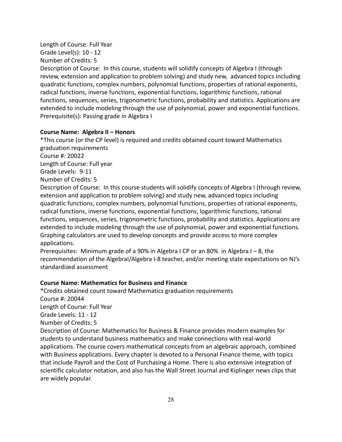### Length of Course: Full Year

Grade Level(s): 10 - 12

Number of Credits: 5

Description of Course: In this course, students will solidify concepts of Algebra I (through review, extension and application to problem solving) and study new, advanced topics including quadratic functions, complex numbers, polynomial functions, properties of rational exponents, radical functions, inverse functions, exponential functions, logarithmic functions, rational functions, sequences, series, trigonometric functions, probability and statistics. Applications are extended to include modeling through the use of polynomial, power and exponential functions. Prerequisite(s): Passing grade in Algebra I

### **Course Name: Algebra II – Honors**

\*This course (or the CP level) is required and credits obtained count toward Mathematics graduation requirements

Course #: 20022

Length of Course: Full year

Grade Levels: 9-11

Number of Credits: 5

Description of Course: In this course students will solidify concepts of Algebra I (through review, extension and application to problem solving) and study new, advanced topics including quadratic functions, complex numbers, polynomial functions, properties of rational exponents, radical functions, inverse functions, exponential functions, logarithmic functions, rational functions, sequences, series, trigonometric functions, probability and statistics. Applications are extended to include modeling through the use of polynomial, power and exponential functions. Graphing calculators are used to develop concepts and provide access to more complex applications.

Prerequisites: Minimum grade of a 90% in Algebra I CP or an 80% in Algebra I – 8, the recommendation of the AlgebraI/Algebra I-8 teacher, and/or meeting state expectations on NJ's standardized assessment

### **Course Name: Mathematics for Business and Finance**

\*Credits obtained count toward Mathematics graduation requirements Course #: 20044 Length of Course: Full Year Grade Levels: 11 - 12 Number of Credits: 5 Description of Course: Mathematics for Business & Finance provides modern examples for students to understand business mathematics and make connections with real-world applications. The course covers mathematical concepts from an algebraic approach, combined with Business applications. Every chapter is devoted to a Personal Finance theme, with topics that include Payroll and the Cost of Purchasing a Home. There is also extensive integration of scientific calculator notation, and also has the Wall Street Journal and Kiplinger news clips that are widely popular.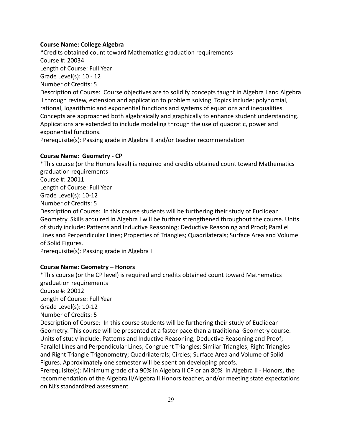### **Course Name: College Algebra**

\*Credits obtained count toward Mathematics graduation requirements Course #: 20034 Length of Course: Full Year Grade Level(s): 10 - 12 Number of Credits: 5 Description of Course: Course objectives are to solidify concepts taught in Algebra I and Algebra II through review, extension and application to problem solving. Topics include: polynomial, rational, logarithmic and exponential functions and systems of equations and inequalities. Concepts are approached both algebraically and graphically to enhance student understanding. Applications are extended to include modeling through the use of quadratic, power and exponential functions.

Prerequisite(s): Passing grade in Algebra II and/or teacher recommendation

### **Course Name: Geometry - CP**

\*This course (or the Honors level) is required and credits obtained count toward Mathematics graduation requirements Course #: 20011 Length of Course: Full Year Grade Level(s): 10-12 Number of Credits: 5 Description of Course: In this course students will be furthering their study of Euclidean Geometry. Skills acquired in Algebra I will be further strengthened throughout the course. Units of study include: Patterns and Inductive Reasoning; Deductive Reasoning and Proof; Parallel Lines and Perpendicular Lines; Properties of Triangles; Quadrilaterals; Surface Area and Volume of Solid Figures.

Prerequisite(s): Passing grade in Algebra I

### **Course Name: Geometry – Honors**

\*This course (or the CP level) is required and credits obtained count toward Mathematics graduation requirements Course #: 20012 Length of Course: Full Year Grade Level(s): 10-12 Number of Credits: 5 Description of Course: In this course students will be furthering their study of Euclidean Geometry. This course will be presented at a faster pace than a traditional Geometry course. Units of study include: Patterns and Inductive Reasoning; Deductive Reasoning and Proof; Parallel Lines and Perpendicular Lines; Congruent Triangles; Similar Triangles; Right Triangles and Right Triangle Trigonometry; Quadrilaterals; Circles; Surface Area and Volume of Solid Figures. Approximately one semester will be spent on developing proofs.

Prerequisite(s): Minimum grade of a 90% in Algebra II CP or an 80% in Algebra II - Honors, the recommendation of the Algebra II/Algebra II Honors teacher, and/or meeting state expectations on NJ's standardized assessment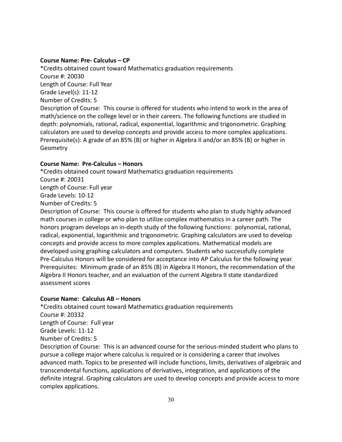#### **Course Name: Pre- Calculus – CP**

\*Credits obtained count toward Mathematics graduation requirements Course #: 20030 Length of Course: Full Year Grade Level(s): 11-12 Number of Credits: 5 Description of Course: This course is offered for students who intend to work in the area of math/science on the college level or in their careers. The following functions are studied in depth: polynomials, rational, radical, exponential, logarithmic and trigonometric. Graphing calculators are used to develop concepts and provide access to more complex applications. Prerequisite(s): A grade of an 85% (B) or higher in Algebra II and/or an 85% (B) or higher in **Geometry** 

#### **Course Name: Pre-Calculus – Honors**

\*Credits obtained count toward Mathematics graduation requirements Course #: 20031 Length of Course: Full year Grade Levels: 10-12 Number of Credits: 5 Description of Course: This course is offered for students who plan to study highly advanced

math courses in college or who plan to utilize complex mathematics in a career path. The honors program develops an in-depth study of the following functions: polynomial, rational, radical, exponential, logarithmic and trigonometric. Graphing calculators are used to develop concepts and provide access to more complex applications. Mathematical models are developed using graphing calculators and computers. Students who successfully complete Pre-Calculus Honors will be considered for acceptance into AP Calculus for the following year. Prerequisites: Minimum grade of an 85% (B) in Algebra II Honors, the recommendation of the Algebra II Honors teacher, and an evaluation of the current Algebra II state standardized assessment scores

### **Course Name: Calculus AB – Honors**

\*Credits obtained count toward Mathematics graduation requirements Course #: 20332 Length of Course: Full year Grade Levels: 11-12 Number of Credits: 5 Description of Course: This is an advanced course for the serious-minded student who plans to

pursue a college major where calculus is required or is considering a career that involves advanced math. Topics to be presented will include functions, limits, derivatives of algebraic and transcendental functions, applications of derivatives, integration, and applications of the definite integral. Graphing calculators are used to develop concepts and provide access to more complex applications.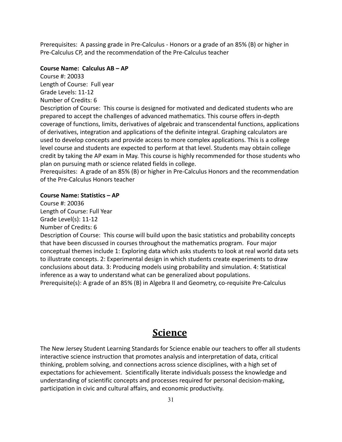Prerequisites: A passing grade in Pre-Calculus - Honors or a grade of an 85% (B) or higher in Pre-Calculus CP, and the recommendation of the Pre-Calculus teacher

#### **Course Name: Calculus AB – AP**

Course #: 20033 Length of Course: Full year Grade Levels: 11-12 Number of Credits: 6

Description of Course: This course is designed for motivated and dedicated students who are prepared to accept the challenges of advanced mathematics. This course offers in-depth coverage of functions, limits, derivatives of algebraic and transcendental functions, applications of derivatives, integration and applications of the definite integral. Graphing calculators are used to develop concepts and provide access to more complex applications. This is a college level course and students are expected to perform at that level. Students may obtain college credit by taking the AP exam in May. This course is highly recommended for those students who plan on pursuing math or science related fields in college.

Prerequisites: A grade of an 85% (B) or higher in Pre-Calculus Honors and the recommendation of the Pre-Calculus Honors teacher

#### **Course Name: Statistics – AP**

Course #: 20036 Length of Course: Full Year Grade Level(s): 11-12 Number of Credits: 6 Description of Course: This course will build upon the basic statistics and probability concepts that have been discussed in courses throughout the mathematics program. Four major conceptual themes include 1: Exploring data which asks students to look at real world data sets to illustrate concepts. 2: Experimental design in which students create experiments to draw conclusions about data. 3: Producing models using probability and simulation. 4: Statistical inference as a way to understand what can be generalized about populations. Prerequisite(s): A grade of an 85% (B) in Algebra II and Geometry, co-requisite Pre-Calculus

### **Science**

The New Jersey Student Learning Standards for Science enable our teachers to offer all students interactive science instruction that promotes analysis and interpretation of data, critical thinking, problem solving, and connections across science disciplines, with a high set of expectations for achievement. Scientifically literate individuals possess the knowledge and understanding of scientific concepts and processes required for personal decision-making, participation in civic and cultural affairs, and economic productivity.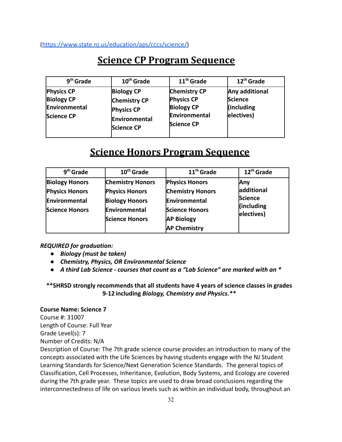([https://www.state.nj.us/education/aps/cccs/science/\)](https://www.state.nj.us/education/aps/cccs/science/)

## **Science CP Program Sequence**

| 9 <sup>th</sup> Grade                                                 | 10 <sup>th</sup> Grade                                                                       | 11 <sup>th</sup> Grade                                                                              | 12 <sup>th</sup> Grade                                       |
|-----------------------------------------------------------------------|----------------------------------------------------------------------------------------------|-----------------------------------------------------------------------------------------------------|--------------------------------------------------------------|
| <b>Physics CP</b><br><b>Biology CP</b><br>Environmental<br>Science CP | <b>Biology CP</b><br><b>Chemistry CP</b><br><b>Physics CP</b><br>Environmental<br>Science CP | <b>Chemistry CP</b><br><b>Physics CP</b><br><b>Biology CP</b><br>Environmental<br><b>Science CP</b> | Any additional<br><b>Science</b><br>(including<br>electives) |

## **Science Honors Program Sequence**

| $9th$ Grade                                                                              | $10th$ Grade                                                                                                        | $11th$ Grade                                                                                                                           | 12 <sup>th</sup> Grade                                          |
|------------------------------------------------------------------------------------------|---------------------------------------------------------------------------------------------------------------------|----------------------------------------------------------------------------------------------------------------------------------------|-----------------------------------------------------------------|
| <b>Biology Honors</b><br><b>Physics Honors</b><br>Environmental<br><b>Science Honors</b> | <b>Chemistry Honors</b><br><b>Physics Honors</b><br><b>Biology Honors</b><br>Environmental<br><b>Science Honors</b> | <b>Physics Honors</b><br><b>Chemistry Honors</b><br>Environmental<br><b>Science Honors</b><br><b>AP Biology</b><br><b>AP Chemistry</b> | <b>Any</b><br>additional<br>Science<br>(including<br>electives) |

*REQUIRED for graduation:*

- *● Biology (must be taken)*
- *● Chemistry, Physics, OR Environmental Science*
- *● A third Lab Science courses that count as a "Lab Science" are marked with an \**

**\*\*SHRSD strongly recommends that all students have 4 years of science classes in grades 9-12 including** *Biology, Chemistry and Physics.\*\**

#### **Course Name: Science 7**

Course #: 31007 Length of Course: Full Year Grade Level(s): 7 Number of Credits: N/A

Description of Course: The 7th grade science course provides an introduction to many of the concepts associated with the Life Sciences by having students engage with the NJ Student Learning Standards for Science/Next Generation Science Standards. The general topics of Classification, Cell Processes, Inheritance, Evolution, Body Systems, and Ecology are covered during the 7th grade year. These topics are used to draw broad conclusions regarding the interconnectedness of life on various levels such as within an individual body, throughout an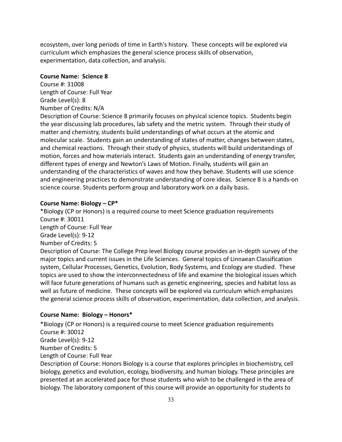ecosystem, over long periods of time in Earth's history. These concepts will be explored via curriculum which emphasizes the general science process skills of observation, experimentation, data collection, and analysis.

#### **Course Name: Science 8**

Course #: 31008 Length of Course: Full Year Grade Level(s): 8 Number of Credits: N/A

Description of Course: Science 8 primarily focuses on physical science topics. Students begin the year discussing lab procedures, lab safety and the metric system. Through their study of matter and chemistry, students build understandings of what occurs at the atomic and molecular scale. Students gain an understanding of states of matter, changes between states, and chemical reactions. Through their study of physics, students will build understandings of motion, forces and how materials interact. Students gain an understanding of energy transfer, different types of energy and Newton's Laws of Motion. Finally, students will gain an understanding of the characteristics of waves and how they behave. Students will use science and engineering practices to demonstrate understanding of core ideas. Science 8 is a hands-on science course. Students perform group and laboratory work on a daily basis.

#### **Course Name: Biology – CP\***

\*Biology (CP or Honors) is a required course to meet Science graduation requirements Course #: 30011 Length of Course: Full Year Grade Level(s): 9-12 Number of Credits: 5 Description of Course: The College Prep level Biology course provides an in-depth survey of the major topics and current issues in the Life Sciences. General topics of Linnaean Classification system, Cellular Processes, Genetics, Evolution, Body Systems, and Ecology are studied. These topics are used to show the interconnectedness of life and examine the biological issues which will face future generations of humans such as genetic engineering, species and habitat loss as well as future of medicine. These concepts will be explored via curriculum which emphasizes the general science process skills of observation, experimentation, data collection, and analysis.

#### **Course Name: Biology – Honors\***

\*Biology (CP or Honors) is a required course to meet Science graduation requirements Course #: 30012 Grade Level(s): 9-12 Number of Credits: 5 Length of Course: Full Year

Description of Course: Honors Biology is a course that explores principles in biochemistry, cell biology, genetics and evolution, ecology, biodiversity, and human biology. These principles are presented at an accelerated pace for those students who wish to be challenged in the area of biology. The laboratory component of this course will provide an opportunity for students to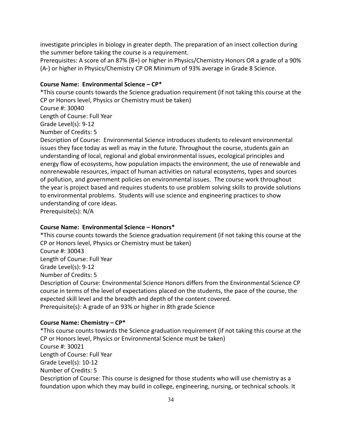investigate principles in biology in greater depth. The preparation of an insect collection during the summer before taking the course is a requirement.

Prerequisites: A score of an 87% (B+) or higher in Physics/Chemistry Honors OR a grade of a 90% (A-) or higher in Physics/Chemistry CP OR Minimum of 93% average in Grade 8 Science.

#### **Course Name: Environmental Science – CP\***

\*This course counts towards the Science graduation requirement (if not taking this course at the CP or Honors level, Physics or Chemistry must be taken)

Course #: 30040

Length of Course: Full Year

Grade Level(s): 9-12

Number of Credits: 5

Description of Course: Environmental Science introduces students to relevant environmental issues they face today as well as may in the future. Throughout the course, students gain an understanding of local, regional and global environmental issues, ecological principles and energy flow of ecosystems, how population impacts the environment, the use of renewable and nonrenewable resources, impact of human activities on natural ecosystems, types and sources of pollution, and government policies on environmental issues. The course work throughout the year is project based and requires students to use problem solving skills to provide solutions to environmental problems. Students will use science and engineering practices to show understanding of core ideas.

Prerequisite(s): N/A

#### **Course Name: Environmental Science – Honors\***

\*This course counts towards the Science graduation requirement (if not taking this course at the CP or Honors level, Physics or Chemistry must be taken) Course #: 30043 Length of Course: Full Year Grade Level(s): 9-12 Number of Credits: 5 Description of Course: Environmental Science Honors differs from the Environmental Science CP course in terms of the level of expectations placed on the students, the pace of the course, the expected skill level and the breadth and depth of the content covered. Prerequisite(s): A grade of an 93% or higher in 8th grade Science

#### **Course Name: Chemistry – CP\***

\*This course counts towards the Science graduation requirement (if not taking this course at the CP or Honors level, Physics or Environmental Science must be taken) Course #: 30021 Length of Course: Full Year Grade Level(s): 10-12 Number of Credits: 5 Description of Course: This course is designed for those students who will use chemistry as a foundation upon which they may build in college, engineering, nursing, or technical schools. It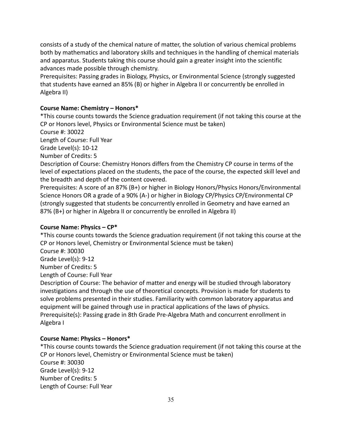consists of a study of the chemical nature of matter, the solution of various chemical problems both by mathematics and laboratory skills and techniques in the handling of chemical materials and apparatus. Students taking this course should gain a greater insight into the scientific advances made possible through chemistry.

Prerequisites: Passing grades in Biology, Physics, or Environmental Science (strongly suggested that students have earned an 85% (B) or higher in Algebra II or concurrently be enrolled in Algebra II)

### **Course Name: Chemistry – Honors\***

\*This course counts towards the Science graduation requirement (if not taking this course at the CP or Honors level, Physics or Environmental Science must be taken)

Course #: 30022

Length of Course: Full Year

Grade Level(s): 10-12

Number of Credits: 5

Description of Course: Chemistry Honors differs from the Chemistry CP course in terms of the level of expectations placed on the students, the pace of the course, the expected skill level and the breadth and depth of the content covered.

Prerequisites: A score of an 87% (B+) or higher in Biology Honors/Physics Honors/Environmental Science Honors OR a grade of a 90% (A-) or higher in Biology CP/Physics CP/Environmental CP (strongly suggested that students be concurrently enrolled in Geometry and have earned an 87% (B+) or higher in Algebra II or concurrently be enrolled in Algebra II)

#### **Course Name: Physics – CP\***

\*This course counts towards the Science graduation requirement (if not taking this course at the CP or Honors level, Chemistry or Environmental Science must be taken) Course #: 30030 Grade Level(s): 9-12 Number of Credits: 5 Length of Course: Full Year Description of Course: The behavior of matter and energy will be studied through laboratory

investigations and through the use of theoretical concepts. Provision is made for students to solve problems presented in their studies. Familiarity with common laboratory apparatus and equipment will be gained through use in practical applications of the laws of physics. Prerequisite(s): Passing grade in 8th Grade Pre-Algebra Math and concurrent enrollment in Algebra I

### **Course Name: Physics – Honors\***

\*This course counts towards the Science graduation requirement (if not taking this course at the CP or Honors level, Chemistry or Environmental Science must be taken) Course #: 30030 Grade Level(s): 9-12 Number of Credits: 5 Length of Course: Full Year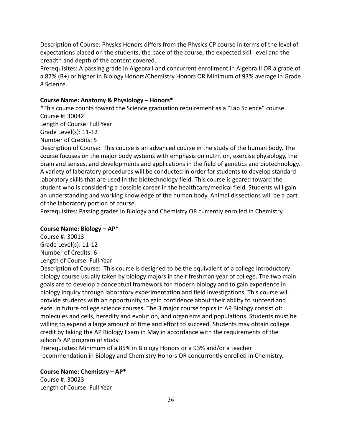Description of Course: Physics Honors differs from the Physics CP course in terms of the level of expectations placed on the students, the pace of the course, the expected skill level and the breadth and depth of the content covered.

Prerequisites: A passing grade in Algebra I and concurrent enrollment in Algebra II OR a grade of a 87% (B+) or higher in Biology Honors/Chemistry Honors OR Minimum of 93% average in Grade 8 Science.

#### **Course Name: Anatomy & Physiology – Honors\***

\*This course counts toward the Science graduation requirement as a "Lab Science" course Course #: 30042

Length of Course: Full Year

Grade Level(s): 11-12

Number of Credits: 5

Description of Course: This course is an advanced course in the study of the human body. The course focuses on the major body systems with emphasis on nutrition, exercise physiology, the brain and senses, and developments and applications in the field of genetics and biotechnology. A variety of laboratory procedures will be conducted in order for students to develop standard laboratory skills that are used in the biotechnology field. This course is geared toward the student who is considering a possible career in the healthcare/medical field. Students will gain an understanding and working knowledge of the human body. Animal dissections will be a part of the laboratory portion of course.

Prerequisites: Passing grades in Biology and Chemistry OR currently enrolled in Chemistry

#### **Course Name: Biology – AP\***

Course #: 30013 Grade Level(s): 11-12 Number of Credits: 6 Length of Course: Full Year

Description of Course: This course is designed to be the equivalent of a college introductory biology course usually taken by biology majors in their freshman year of college. The two main goals are to develop a conceptual framework for modern biology and to gain experience in biology inquiry through laboratory experimentation and field investigations. This course will provide students with an opportunity to gain confidence about their ability to succeed and excel in future college science courses. The 3 major course topics in AP Biology consist of: molecules and cells, heredity and evolution, and organisms and populations. Students must be willing to expend a large amount of time and effort to succeed. Students may obtain college credit by taking the AP Biology Exam in May in accordance with the requirements of the school's AP program of study.

Prerequisites: Minimum of a 85% in Biology Honors or a 93% and/or a teacher recommendation in Biology and Chemistry Honors OR concurrently enrolled in Chemistry.

**Course Name: Chemistry – AP\***  Course #: 30023 Length of Course: Full Year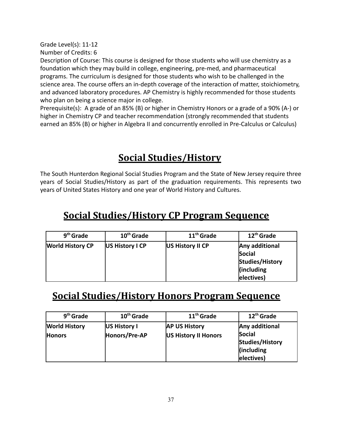Grade Level(s): 11-12

Number of Credits: 6

Description of Course: This course is designed for those students who will use chemistry as a foundation which they may build in college, engineering, pre-med, and pharmaceutical programs. The curriculum is designed for those students who wish to be challenged in the science area. The course offers an in-depth coverage of the interaction of matter, stoichiometry, and advanced laboratory procedures. AP Chemistry is highly recommended for those students who plan on being a science major in college.

Prerequisite(s): A grade of an 85% (B) or higher in Chemistry Honors or a grade of a 90% (A-) or higher in Chemistry CP and teacher recommendation (strongly recommended that students earned an 85% (B) or higher in Algebra II and concurrently enrolled in Pre-Calculus or Calculus)

# **Social Studies/History**

The South Hunterdon Regional Social Studies Program and the State of New Jersey require three years of Social Studies/History as part of the graduation requirements. This represents two years of United States History and one year of World History and Cultures.

# **Social Studies/History CP Program Sequence**

| 9 <sup>th</sup> Grade   | 10 <sup>th</sup> Grade | 11 <sup>th</sup> Grade | 12 <sup>th</sup> Grade                                                       |
|-------------------------|------------------------|------------------------|------------------------------------------------------------------------------|
| <b>World History CP</b> | US History I CP        | US History II CP       | Any additional<br>Social<br>Studies/History<br>$\ $ (including<br>electives) |

# **Social Studies/History Honors Program Sequence**

| 9 <sup>th</sup> Grade                 | 10 <sup>th</sup> Grade        | 11 <sup>th</sup> Grade                       | 12 <sup>th</sup> Grade                                                       |
|---------------------------------------|-------------------------------|----------------------------------------------|------------------------------------------------------------------------------|
| <b>World History</b><br><b>Honors</b> | US History I<br>Honors/Pre-AP | <b>AP US History</b><br>US History II Honors | Any additional<br>Social<br>Studies/History<br>$\ $ (including<br>electives) |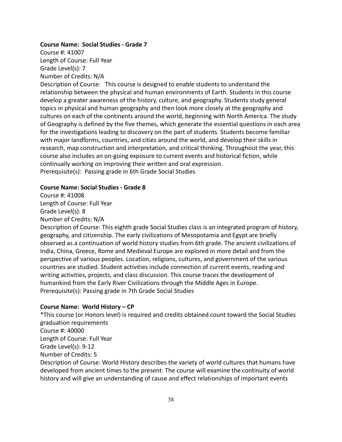#### **Course Name: Social Studies - Grade 7**

Course #: 41007 Length of Course: Full Year Grade Level(s): 7 Number of Credits: N/A

Description of Course: This course is designed to enable students to understand the relationship between the physical and human environments of Earth. Students in this course develop a greater awareness of the history, culture, and geography. Students study general topics in physical and human geography and then look more closely at the geography and cultures on each of the continents around the world, beginning with North America. The study of Geography is defined by the five themes, which generate the essential questions in each area for the investigations leading to discovery on the part of students. Students become familiar with major landforms, countries, and cities around the world, and develop their skills in research, map construction and interpretation, and critical thinking. Throughout the year, this course also includes an on-going exposure to current events and historical fiction, while continually working on improving their written and oral expression. Prerequisite(s): Passing grade in 6th Grade Social Studies

#### **Course Name: Social Studies - Grade 8**

Course #: 41008 Length of Course: Full Year Grade Level(s): 8 Number of Credits: N/A

Description of Course: This eighth grade Social Studies class is an integrated program of history, geography, and citizenship. The early civilizations of Mesopotamia and Egypt are briefly observed as a continuation of world history studies from 6th grade. The ancient civilizations of India, China, Greece, Rome and Medieval Europe are explored in more detail and from the perspective of various peoples. Location, religions, cultures, and government of the various countries are studied. Student activities include connection of current events, reading and writing activities, projects, and class discussion. This course traces the development of humankind from the Early River Civilizations through the Middle Ages in Europe. Prerequisite(s): Passing grade in 7th Grade Social Studies

### **Course Name: World History – CP**

\*This course (or Honors level) is required and credits obtained count toward the Social Studies graduation requirements Course #: 40000 Length of Course: Full Year Grade Level(s): 9-12 Number of Credits: 5 Description of Course: World History describes the variety of world cultures that humans have

developed from ancient times to the present. The course will examine the continuity of world history and will give an understanding of cause and effect relationships of important events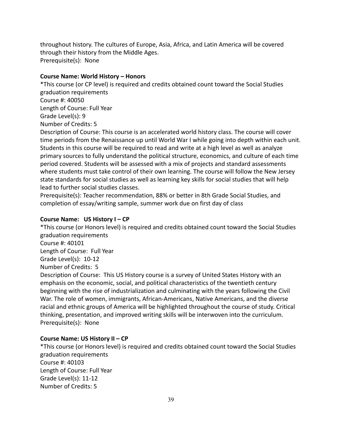throughout history. The cultures of Europe, Asia, Africa, and Latin America will be covered through their history from the Middle Ages. Prerequisite(s): None

#### **Course Name: World History – Honors**

\*This course (or CP level) is required and credits obtained count toward the Social Studies graduation requirements Course #: 40050 Length of Course: Full Year Grade Level(s): 9 Number of Credits: 5 Description of Course: This course is an accelerated world history class. The course will cover

time periods from the Renaissance up until World War I while going into depth within each unit. Students in this course will be required to read and write at a high level as well as analyze primary sources to fully understand the political structure, economics, and culture of each time period covered. Students will be assessed with a mix of projects and standard assessments where students must take control of their own learning. The course will follow the New Jersey state standards for social studies as well as learning key skills for social studies that will help lead to further social studies classes.

Prerequisite(s): Teacher recommendation, 88% or better in 8th Grade Social Studies, and completion of essay/writing sample, summer work due on first day of class

### **Course Name: US History I – CP**

\*This course (or Honors level) is required and credits obtained count toward the Social Studies graduation requirements

Course #: 40101

Length of Course: Full Year

Grade Level(s): 10-12

Number of Credits: 5

Description of Course: This US History course is a survey of United States History with an emphasis on the economic, social, and political characteristics of the twentieth century beginning with the rise of industrialization and culminating with the years following the Civil War. The role of women, immigrants, African-Americans, Native Americans, and the diverse racial and ethnic groups of America will be highlighted throughout the course of study. Critical thinking, presentation, and improved writing skills will be interwoven into the curriculum. Prerequisite(s): None

### **Course Name: US History II – CP**

\*This course (or Honors level) is required and credits obtained count toward the Social Studies graduation requirements Course #: 40103 Length of Course: Full Year Grade Level(s): 11-12 Number of Credits: 5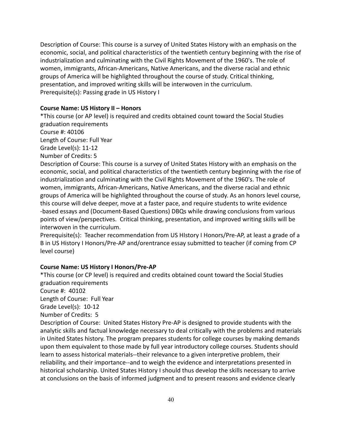Description of Course: This course is a survey of United States History with an emphasis on the economic, social, and political characteristics of the twentieth century beginning with the rise of industrialization and culminating with the Civil Rights Movement of the 1960's. The role of women, immigrants, African-Americans, Native Americans, and the diverse racial and ethnic groups of America will be highlighted throughout the course of study. Critical thinking, presentation, and improved writing skills will be interwoven in the curriculum. Prerequisite(s): Passing grade in US History I

#### **Course Name: US History II – Honors**

\*This course (or AP level) is required and credits obtained count toward the Social Studies graduation requirements

Course #: 40106

Length of Course: Full Year

Grade Level(s): 11-12

Number of Credits: 5

Description of Course: This course is a survey of United States History with an emphasis on the economic, social, and political characteristics of the twentieth century beginning with the rise of industrialization and culminating with the Civil Rights Movement of the 1960's. The role of women, immigrants, African-Americans, Native Americans, and the diverse racial and ethnic groups of America will be highlighted throughout the course of study. As an honors level course, this course will delve deeper, move at a faster pace, and require students to write evidence -based essays and (Document-Based Questions) DBQs while drawing conclusions from various points of view/perspectives. Critical thinking, presentation, and improved writing skills will be interwoven in the curriculum.

Prerequisite(s): Teacher recommendation from US HIstory I Honors/Pre-AP, at least a grade of a B in US History I Honors/Pre-AP and/orentrance essay submitted to teacher (if coming from CP level course)

### **Course Name: US History I Honors/Pre-AP**

\*This course (or CP level) is required and credits obtained count toward the Social Studies graduation requirements Course #: 40102

Length of Course: Full Year

Grade Level(s): 10-12

Number of Credits: 5

Description of Course: United States History Pre-AP is designed to provide students with the analytic skills and factual knowledge necessary to deal critically with the problems and materials in United States history. The program prepares students for college courses by making demands upon them equivalent to those made by full year introductory college courses. Students should learn to assess historical materials--their relevance to a given interpretive problem, their reliability, and their importance--and to weigh the evidence and interpretations presented in historical scholarship. United States History I should thus develop the skills necessary to arrive at conclusions on the basis of informed judgment and to present reasons and evidence clearly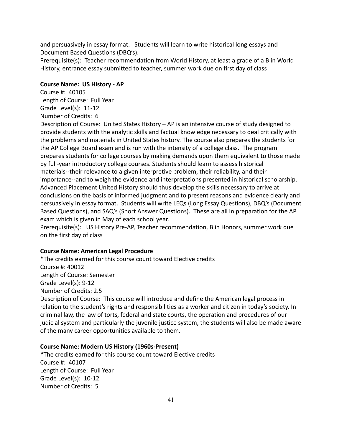and persuasively in essay format. Students will learn to write historical long essays and Document Based Questions (DBQ's).

Prerequisite(s): Teacher recommendation from World History, at least a grade of a B in World History, entrance essay submitted to teacher, summer work due on first day of class

### **Course Name: US History - AP**

Course #: 40105 Length of Course: Full Year Grade Level(s): 11-12 Number of Credits: 6

Description of Course: United States History – AP is an intensive course of study designed to provide students with the analytic skills and factual knowledge necessary to deal critically with the problems and materials in United States history. The course also prepares the students for the AP College Board exam and is run with the intensity of a college class. The program prepares students for college courses by making demands upon them equivalent to those made by full-year introductory college courses. Students should learn to assess historical materials--their relevance to a given interpretive problem, their reliability, and their importance--and to weigh the evidence and interpretations presented in historical scholarship. Advanced Placement United History should thus develop the skills necessary to arrive at conclusions on the basis of informed judgment and to present reasons and evidence clearly and persuasively in essay format. Students will write LEQs (Long Essay Questions), DBQ's (Document Based Questions), and SAQ's (Short Answer Questions). These are all in preparation for the AP exam which is given in May of each school year.

Prerequisite(s): US History Pre-AP, Teacher recommendation, B in Honors, summer work due on the first day of class

### **Course Name: American Legal Procedure**

\*The credits earned for this course count toward Elective credits Course #: 40012 Length of Course: Semester Grade Level(s): 9-12 Number of Credits: 2.5 Description of Course: This course will introduce and define the American legal process in relation to the student's rights and responsibilities as a worker and citizen in today's society. In

criminal law, the law of torts, federal and state courts, the operation and procedures of our judicial system and particularly the juvenile justice system, the students will also be made aware of the many career opportunities available to them.

### **Course Name: Modern US History (1960s-Present)**

\*The credits earned for this course count toward Elective credits Course #: 40107 Length of Course: Full Year Grade Level(s): 10-12 Number of Credits: 5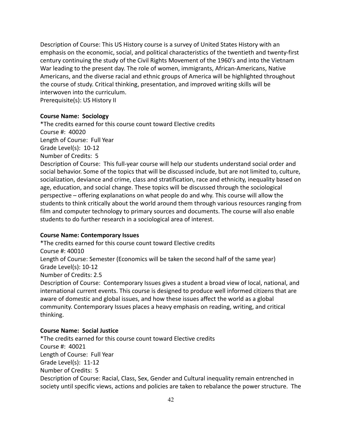Description of Course: This US History course is a survey of United States History with an emphasis on the economic, social, and political characteristics of the twentieth and twenty-first century continuing the study of the Civil Rights Movement of the 1960's and into the Vietnam War leading to the present day. The role of women, immigrants, African-Americans, Native Americans, and the diverse racial and ethnic groups of America will be highlighted throughout the course of study. Critical thinking, presentation, and improved writing skills will be interwoven into the curriculum. Prerequisite(s): US History II

#### **Course Name: Sociology**

\*The credits earned for this course count toward Elective credits Course #: 40020 Length of Course: Full Year Grade Level(s): 10-12 Number of Credits: 5 Description of Course: This full-year course will help our students understand social order and social behavior. Some of the topics that will be discussed include, but are not limited to, culture, socialization, deviance and crime, class and stratification, race and ethnicity, inequality based on age, education, and social change. These topics will be discussed through the sociological perspective – offering explanations on what people do and why. This course will allow the students to think critically about the world around them through various resources ranging from film and computer technology to primary sources and documents. The course will also enable students to do further research in a sociological area of interest.

### **Course Name: Contemporary Issues**

\*The credits earned for this course count toward Elective credits Course #: 40010 Length of Course: Semester (Economics will be taken the second half of the same year) Grade Level(s): 10-12

Number of Credits: 2.5

Description of Course: Contemporary Issues gives a student a broad view of local, national, and international current events. This course is designed to produce well informed citizens that are aware of domestic and global issues, and how these issues affect the world as a global community. Contemporary Issues places a heavy emphasis on reading, writing, and critical thinking.

#### **Course Name: Social Justice**

\*The credits earned for this course count toward Elective credits Course #: 40021 Length of Course: Full Year Grade Level(s): 11-12 Number of Credits: 5 Description of Course: Racial, Class, Sex, Gender and Cultural inequality remain entrenched in society until specific views, actions and policies are taken to rebalance the power structure. The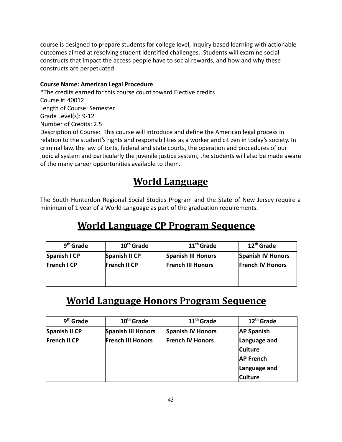course is designed to prepare students for college level, inquiry based learning with actionable outcomes aimed at resolving student identified challenges. Students will examine social constructs that impact the access people have to social rewards, and how and why these constructs are perpetuated.

### **Course Name: American Legal Procedure**

\*The credits earned for this course count toward Elective credits Course #: 40012 Length of Course: Semester Grade Level(s): 9-12 Number of Credits: 2.5 Description of Course: This course will introduce and define the American legal process in relation to the student's rights and responsibilities as a worker and citizen in today's society. In criminal law, the law of torts, federal and state courts, the operation and procedures of our judicial system and particularly the juvenile justice system, the students will also be made aware of the many career opportunities available to them.

# **World Language**

The South Hunterdon Regional Social Studies Program and the State of New Jersey require a minimum of 1 year of a World Language as part of the graduation requirements.

# **World Language CP Program Sequence**

| 9 <sup>th</sup> Grade | 10 <sup>th</sup> Grade | 11 <sup>th</sup> Grade    | $12th$ Grade             |
|-----------------------|------------------------|---------------------------|--------------------------|
| Spanish I CP          | Spanish II CP          | <b>Spanish III Honors</b> | <b>Spanish IV Honors</b> |
| <b>French I CP</b>    | <b>French II CP</b>    | <b>French III Honors</b>  | <b>French IV Honors</b>  |
|                       |                        |                           |                          |

# **World Language Honors Program Sequence**

| 9 <sup>th</sup> Grade | 10 <sup>th</sup> Grade   | 11 <sup>th</sup> Grade   | 12 <sup>th</sup> Grade |
|-----------------------|--------------------------|--------------------------|------------------------|
| Spanish II CP         | Spanish III Honors       | <b>Spanish IV Honors</b> | <b>AP Spanish</b>      |
| French II CP          | <b>French III Honors</b> | <b>French IV Honors</b>  | Language and           |
|                       |                          |                          | <b>Culture</b>         |
|                       |                          |                          | <b>AP French</b>       |
|                       |                          |                          | Language and           |
|                       |                          |                          | <b>Culture</b>         |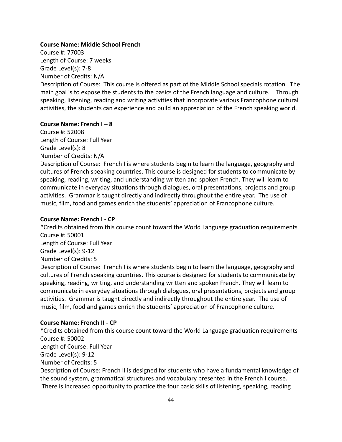#### **Course Name: Middle School French**

Course #: 77003 Length of Course: 7 weeks Grade Level(s): 7-8 Number of Credits: N/A

Description of Course: This course is offered as part of the Middle School specials rotation. The main goal is to expose the students to the basics of the French language and culture. Through speaking, listening, reading and writing activities that incorporate various Francophone cultural activities, the students can experience and build an appreciation of the French speaking world.

#### **Course Name: French I – 8**

Course #: 52008 Length of Course: Full Year Grade Level(s): 8 Number of Credits: N/A

Description of Course: French I is where students begin to learn the language, geography and cultures of French speaking countries. This course is designed for students to communicate by speaking, reading, writing, and understanding written and spoken French. They will learn to communicate in everyday situations through dialogues, oral presentations, projects and group activities. Grammar is taught directly and indirectly throughout the entire year. The use of music, film, food and games enrich the students' appreciation of Francophone culture.

#### **Course Name: French I - CP**

\*Credits obtained from this course count toward the World Language graduation requirements Course #: 50001 Length of Course: Full Year Grade Level(s): 9-12 Number of Credits: 5 Description of Course: French I is where students begin to learn the language, geography and cultures of French speaking countries. This course is designed for students to communicate by

speaking, reading, writing, and understanding written and spoken French. They will learn to communicate in everyday situations through dialogues, oral presentations, projects and group activities. Grammar is taught directly and indirectly throughout the entire year. The use of music, film, food and games enrich the students' appreciation of Francophone culture.

#### **Course Name: French II - CP**

\*Credits obtained from this course count toward the World Language graduation requirements Course #: 50002 Length of Course: Full Year Grade Level(s): 9-12

Number of Credits: 5

Description of Course: French II is designed for students who have a fundamental knowledge of the sound system, grammatical structures and vocabulary presented in the French I course. There is increased opportunity to practice the four basic skills of listening, speaking, reading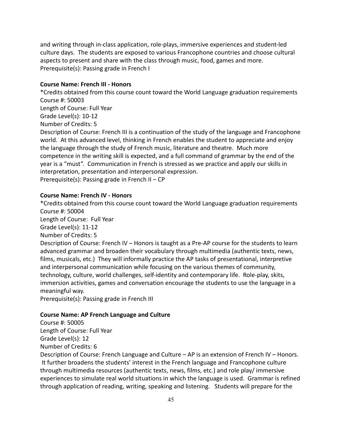and writing through in-class application, role-plays, immersive experiences and student-led culture days. The students are exposed to various Francophone countries and choose cultural aspects to present and share with the class through music, food, games and more. Prerequisite(s): Passing grade in French I

#### **Course Name: French III - Honors**

\*Credits obtained from this course count toward the World Language graduation requirements Course #: 50003

Length of Course: Full Year

Grade Level(s): 10-12

Number of Credits: 5

Description of Course: French III is a continuation of the study of the language and Francophone world. At this advanced level, thinking in French enables the student to appreciate and enjoy the language through the study of French music, literature and theatre. Much more competence in the writing skill is expected, and a full command of grammar by the end of the year is a "must". Communication in French is stressed as we practice and apply our skills in interpretation, presentation and interpersonal expression.

Prerequisite(s): Passing grade in French II – CP

### **Course Name: French IV - Honors**

\*Credits obtained from this course count toward the World Language graduation requirements Course #: 50004

Length of Course: Full Year

Grade Level(s): 11-12

Number of Credits: 5

Description of Course: French IV – Honors is taught as a Pre-AP course for the students to learn advanced grammar and broaden their vocabulary through multimedia (authentic texts, news, films, musicals, etc.) They will informally practice the AP tasks of presentational, interpretive and interpersonal communication while focusing on the various themes of community, technology, culture, world challenges, self-identity and contemporary life. Role-play, skits, immersion activities, games and conversation encourage the students to use the language in a meaningful way.

Prerequisite(s): Passing grade in French III

### **Course Name: AP French Language and Culture**

Course #: 50005 Length of Course: Full Year Grade Level(s): 12 Number of Credits: 6

Description of Course: French Language and Culture – AP is an extension of French IV – Honors. It further broadens the students' interest in the French language and Francophone culture through multimedia resources (authentic texts, news, films, etc.) and role play/ immersive experiences to simulate real world situations in which the language is used. Grammar is refined through application of reading, writing, speaking and listening. Students will prepare for the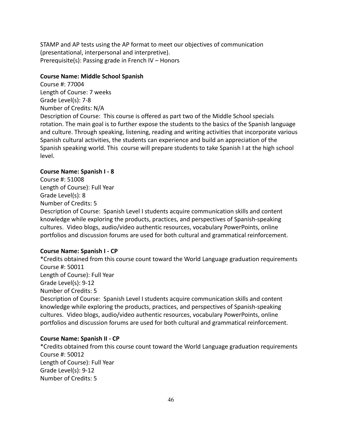STAMP and AP tests using the AP format to meet our objectives of communication (presentational, interpersonal and interpretive). Prerequisite(s): Passing grade in French IV – Honors

#### **Course Name: Middle School Spanish**

Course #: 77004 Length of Course: 7 weeks Grade Level(s): 7-8 Number of Credits: N/A Description of Course: This course is offered as part two of the Middle School specials rotation. The main goal is to further expose the students to the basics of the Spanish language and culture. Through speaking, listening, reading and writing activities that incorporate various Spanish cultural activities, the students can experience and build an appreciation of the Spanish speaking world. This course will prepare students to take Spanish I at the high school level.

### **Course Name: Spanish I - 8**

Course #: 51008 Length of Course): Full Year Grade Level(s): 8 Number of Credits: 5

Description of Course: Spanish Level I students acquire communication skills and content knowledge while exploring the products, practices, and perspectives of Spanish-speaking cultures. Video blogs, audio/video authentic resources, vocabulary PowerPoints, online portfolios and discussion forums are used for both cultural and grammatical reinforcement.

### **Course Name: Spanish I - CP**

\*Credits obtained from this course count toward the World Language graduation requirements Course #: 50011 Length of Course): Full Year Grade Level(s): 9-12 Number of Credits: 5 Description of Course: Spanish Level I students acquire communication skills and content knowledge while exploring the products, practices, and perspectives of Spanish-speaking cultures. Video blogs, audio/video authentic resources, vocabulary PowerPoints, online portfolios and discussion forums are used for both cultural and grammatical reinforcement.

#### **Course Name: Spanish II - CP**

\*Credits obtained from this course count toward the World Language graduation requirements Course #: 50012 Length of Course): Full Year Grade Level(s): 9-12 Number of Credits: 5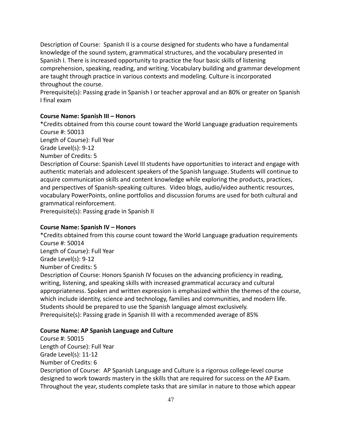Description of Course: Spanish II is a course designed for students who have a fundamental knowledge of the sound system, grammatical structures, and the vocabulary presented in Spanish I. There is increased opportunity to practice the four basic skills of listening comprehension, speaking, reading, and writing. Vocabulary building and grammar development are taught through practice in various contexts and modeling. Culture is incorporated throughout the course.

Prerequisite(s): Passing grade in Spanish I or teacher approval and an 80% or greater on Spanish I final exam

### **Course Name: Spanish III – Honors**

\*Credits obtained from this course count toward the World Language graduation requirements Course #: 50013

Length of Course): Full Year

Grade Level(s): 9-12

Number of Credits: 5

Description of Course: Spanish Level III students have opportunities to interact and engage with authentic materials and adolescent speakers of the Spanish language. Students will continue to acquire communication skills and content knowledge while exploring the products, practices, and perspectives of Spanish-speaking cultures. Video blogs, audio/video authentic resources, vocabulary PowerPoints, online portfolios and discussion forums are used for both cultural and grammatical reinforcement.

Prerequisite(s): Passing grade in Spanish II

### **Course Name: Spanish IV – Honors**

\*Credits obtained from this course count toward the World Language graduation requirements Course #: 50014 Length of Course): Full Year Grade Level(s): 9-12 Number of Credits: 5 Description of Course: Honors Spanish IV focuses on the advancing proficiency in reading, writing, listening, and speaking skills with increased grammatical accuracy and cultural appropriateness. Spoken and written expression is emphasized within the themes of the course, which include identity, science and technology, families and communities, and modern life. Students should be prepared to use the Spanish language almost exclusively.

Prerequisite(s): Passing grade in Spanish III with a recommended average of 85%

### **Course Name: AP Spanish Language and Culture**

Course #: 50015 Length of Course): Full Year Grade Level(s): 11-12 Number of Credits: 6 Description of Course: AP Spanish Language and Culture is a rigorous college-level course designed to work towards mastery in the skills that are required for success on the AP Exam. Throughout the year, students complete tasks that are similar in nature to those which appear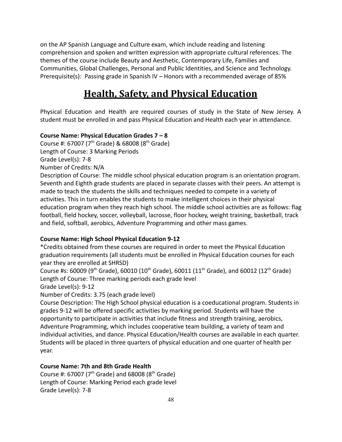on the AP Spanish Language and Culture exam, which include reading and listening comprehension and spoken and written expression with appropriate cultural references. The themes of the course include Beauty and Aesthetic, Contemporary Life, Families and Communities, Global Challenges, Personal and Public Identities, and Science and Technology. Prerequisite(s): Passing grade in Spanish IV – Honors with a recommended average of 85%

# **Health, Safety, and Physical Education**

Physical Education and Health are required courses of study in the State of New Jersey. A student must be enrolled in and pass Physical Education and Health each year in attendance.

### **Course Name: Physical Education Grades 7 – 8**

Course #: 67007 (7<sup>th</sup> Grade) & 68008 (8<sup>th</sup> Grade) Length of Course: 3 Marking Periods Grade Level(s): 7-8 Number of Credits: N/A Description of Course: The middle school physical education program is an orientation program. Seventh and Eighth grade students are placed in separate classes with their peers. An attempt is made to teach the students the skills and techniques needed to compete in a variety of

activities. This in turn enables the students to make intelligent choices in their physical education program when they reach high school. The middle school activities are as follows: flag football, field hockey, soccer, volleyball, lacrosse, floor hockey, weight training, basketball, track and field, softball, aerobics, Adventure Programming and other mass games.

### **Course Name: High School Physical Education 9-12**

\*Credits obtained from these courses are required in order to meet the Physical Education graduation requirements (all students must be enrolled in Physical Education courses for each year they are enrolled at SHRSD)

Course #s: 60009 (9<sup>th</sup> Grade), 60010 (10<sup>th</sup> Grade), 60011 (11<sup>th</sup> Grade), and 60012 (12<sup>th</sup> Grade) Length of Course: Three marking periods each grade level

Grade Level(s): 9-12

Number of Credits: 3.75 (each grade level)

Course Description: The High School physical education is a coeducational program. Students in grades 9-12 will be offered specific activities by marking period. Students will have the opportunity to participate in activities that include fitness and strength training, aerobics, Adventure Programming, which includes cooperative team building, a variety of team and individual activities, and dance. Physical Education/Health courses are available in each quarter. Students will be placed in three quarters of physical education and one quarter of health per year.

### **Course Name: 7th and 8th Grade Health**

Course #: 67007 ( $7<sup>th</sup>$  Grade) and 68008 ( $8<sup>th</sup>$  Grade) Length of Course: Marking Period each grade level Grade Level(s): 7-8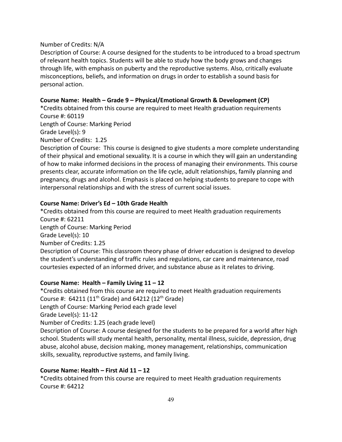#### Number of Credits: N/A

Description of Course: A course designed for the students to be introduced to a broad spectrum of relevant health topics. Students will be able to study how the body grows and changes through life, with emphasis on puberty and the reproductive systems. Also, critically evaluate misconceptions, beliefs, and information on drugs in order to establish a sound basis for personal action.

#### **Course Name: Health – Grade 9 – Physical/Emotional Growth & Development (CP)**

\*Credits obtained from this course are required to meet Health graduation requirements Course #: 60119

Length of Course: Marking Period Grade Level(s): 9

Number of Credits: 1.25

Description of Course: This course is designed to give students a more complete understanding of their physical and emotional sexuality. It is a course in which they will gain an understanding of how to make informed decisions in the process of managing their environments. This course presents clear, accurate information on the life cycle, adult relationships, family planning and pregnancy, drugs and alcohol. Emphasis is placed on helping students to prepare to cope with interpersonal relationships and with the stress of current social issues.

#### **Course Name: Driver's Ed – 10th Grade Health**

\*Credits obtained from this course are required to meet Health graduation requirements Course #: 62211 Length of Course: Marking Period Grade Level(s): 10 Number of Credits: 1.25 Description of Course: This classroom theory phase of driver education is designed to develop the student's understanding of traffic rules and regulations, car care and maintenance, road courtesies expected of an informed driver, and substance abuse as it relates to driving.

#### **Course Name: Health – Family Living 11 – 12**

\*Credits obtained from this course are required to meet Health graduation requirements Course #:  $64211 (11<sup>th</sup> Grade)$  and  $64212 (12<sup>th</sup> Grade)$ Length of Course: Marking Period each grade level Grade Level(s): 11-12 Number of Credits: 1.25 (each grade level) Description of Course: A course designed for the students to be prepared for a world after high school. Students will study mental health, personality, mental illness, suicide, depression, drug abuse, alcohol abuse, decision making, money management, relationships, communication

#### **Course Name: Health – First Aid 11 – 12**

skills, sexuality, reproductive systems, and family living.

\*Credits obtained from this course are required to meet Health graduation requirements Course #: 64212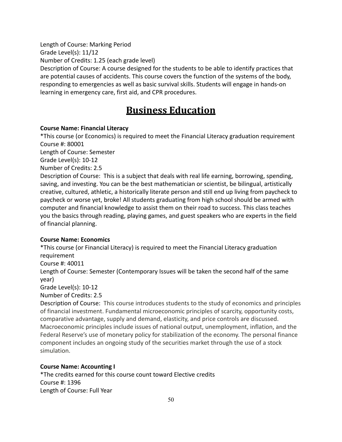Length of Course: Marking Period

Grade Level(s): 11/12

Number of Credits: 1.25 (each grade level)

Description of Course: A course designed for the students to be able to identify practices that are potential causes of accidents. This course covers the function of the systems of the body, responding to emergencies as well as basic survival skills. Students will engage in hands-on learning in emergency care, first aid, and CPR procedures.

# **Business Education**

### **Course Name: Financial Literacy**

\*This course (or Economics) is required to meet the Financial Literacy graduation requirement Course #: 80001

Length of Course: Semester

Grade Level(s): 10-12

Number of Credits: 2.5

Description of Course: This is a subject that deals with real life earning, borrowing, spending, saving, and investing. You can be the best mathematician or scientist, be bilingual, artistically creative, cultured, athletic, a historically literate person and still end up living from paycheck to paycheck or worse yet, broke! All students graduating from high school should be armed with computer and financial knowledge to assist them on their road to success. This class teaches you the basics through reading, playing games, and guest speakers who are experts in the field of financial planning.

### **Course Name: Economics**

\*This course (or Financial Literacy) is required to meet the Financial Literacy graduation requirement Course #: 40011 Length of Course: Semester (Contemporary Issues will be taken the second half of the same year)

Grade Level(s): 10-12

Number of Credits: 2.5

Description of Course: This course introduces students to the study of economics and principles of financial investment. Fundamental microeconomic principles of scarcity, opportunity costs, comparative advantage, supply and demand, elasticity, and price controls are discussed. Macroeconomic principles include issues of national output, unemployment, inflation, and the Federal Reserve's use of monetary policy for stabilization of the economy. The personal finance component includes an ongoing study of the securities market through the use of a stock simulation.

### **Course Name: Accounting I**

\*The credits earned for this course count toward Elective credits Course #: 1396 Length of Course: Full Year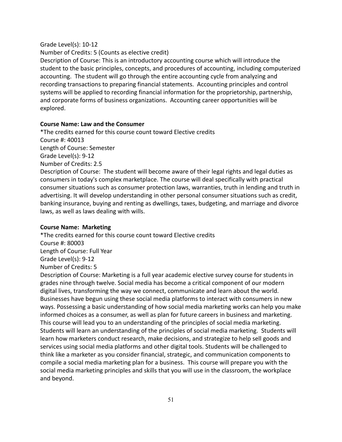#### Grade Level(s): 10-12

Number of Credits: 5 (Counts as elective credit)

Description of Course: This is an introductory accounting course which will introduce the student to the basic principles, concepts, and procedures of accounting, including computerized accounting. The student will go through the entire accounting cycle from analyzing and recording transactions to preparing financial statements. Accounting principles and control systems will be applied to recording financial information for the proprietorship, partnership, and corporate forms of business organizations. Accounting career opportunities will be explored.

#### **Course Name: Law and the Consumer**

\*The credits earned for this course count toward Elective credits Course #: 40013 Length of Course: Semester Grade Level(s): 9-12 Number of Credits: 2.5 Description of Course: The student will become aware of their legal rights and legal duties as

consumers in today's complex marketplace. The course will deal specifically with practical consumer situations such as consumer protection laws, warranties, truth in lending and truth in advertising. It will develop understanding in other personal consumer situations such as credit, banking insurance, buying and renting as dwellings, taxes, budgeting, and marriage and divorce laws, as well as laws dealing with wills.

#### **Course Name: Marketing**

\*The credits earned for this course count toward Elective credits Course #: 80003 Length of Course: Full Year Grade Level(s): 9-12 Number of Credits: 5 Description of Course: Marketing is a full year academic elective survey course for students in

grades nine through twelve. Social media has become a critical component of our modern digital lives, transforming the way we connect, communicate and learn about the world. Businesses have begun using these social media platforms to interact with consumers in new ways. Possessing a basic understanding of how social media marketing works can help you make informed choices as a consumer, as well as plan for future careers in business and marketing. This course will lead you to an understanding of the principles of social media marketing. Students will learn an understanding of the principles of social media marketing. Students will learn how marketers conduct research, make decisions, and strategize to help sell goods and services using social media platforms and other digital tools. Students will be challenged to think like a marketer as you consider financial, strategic, and communication components to compile a social media marketing plan for a business. This course will prepare you with the social media marketing principles and skills that you will use in the classroom, the workplace and beyond.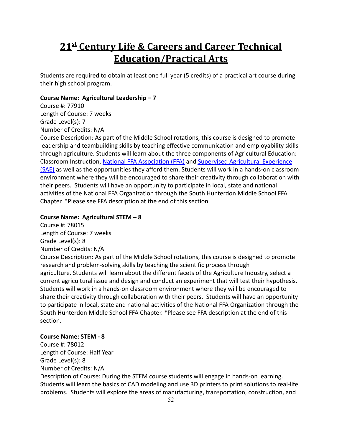# **21st Century Life & Careers and Career Technical Education/Practical Arts**

Students are required to obtain at least one full year (5 credits) of a practical art course during their high school program.

#### **Course Name: Agricultural Leadership – 7**

Course #: 77910 Length of Course: 7 weeks Grade Level(s): 7 Number of Credits: N/A

Course Description: As part of the Middle School rotations, this course is designed to promote leadership and teambuilding skills by teaching effective communication and employability skills through agriculture. Students will learn about the three components of Agricultural Education: Classroom Instruction, National FFA [Association](http://ffatest.ffa.org/about/) (FFA) and [Supervised Agricultural Experience](https://www.ffa.org/about/supervised-agricultural-experiences) [\(SAE\)](https://www.ffa.org/about/supervised-agricultural-experiences) as well as the opportunities they afford them. Students will work in a hands-on classroom environment where they will be encouraged to share their creativity through collaboration with their peers. Students will have an opportunity to participate in local, state and national activities of the National FFA Organization through the South Hunterdon Middle School FFA Chapter. \*Please see FFA description at the end of this section.

#### **Course Name: Agricultural STEM – 8**

Course #: 78015 Length of Course: 7 weeks

Grade Level(s): 8

### Number of Credits: N/A

Course Description: As part of the Middle School rotations, this course is designed to promote research and problem-solving skills by teaching the scientific process through agriculture. Students will learn about the different facets of the Agriculture Industry, select a current agricultural issue and design and conduct an experiment that will test their hypothesis. Students will work in a hands-on classroom environment where they will be encouraged to share their creativity through collaboration with their peers. Students will have an opportunity to participate in local, state and national activities of the National FFA Organization through the South Hunterdon Middle School FFA Chapter. \*Please see FFA description at the end of this section.

#### **Course Name: STEM - 8**

Course #: 78012 Length of Course: Half Year Grade Level(s): 8 Number of Credits: N/A Description of Course: During the STEM course students will engage in hands-on learning. Students will learn the basics of CAD modeling and use 3D printers to print solutions to real-life problems. Students will explore the areas of manufacturing, transportation, construction, and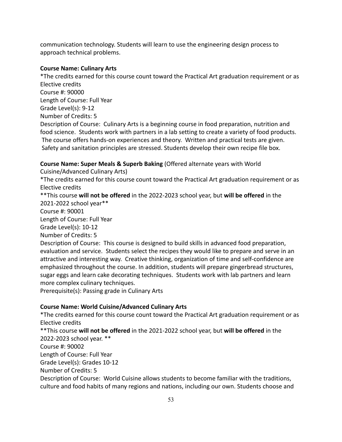communication technology. Students will learn to use the engineering design process to approach technical problems.

### **Course Name: Culinary Arts**

\*The credits earned for this course count toward the Practical Art graduation requirement or as Elective credits Course #: 90000 Length of Course: Full Year Grade Level(s): 9-12 Number of Credits: 5 Description of Course: Culinary Arts is a beginning course in food preparation, nutrition and food science. Students work with partners in a lab setting to create a variety of food products. The course offers hands-on experiences and theory. Written and practical tests are given. Safety and sanitation principles are stressed. Students develop their own recipe file box.

### **Course Name: Super Meals & Superb Baking** (Offered alternate years with World

Cuisine/Advanced Culinary Arts)

\*The credits earned for this course count toward the Practical Art graduation requirement or as Elective credits

\*\*This course **will not be offered** in the 2022-2023 school year, but **will be offered** in the 2021-2022 school year\*\*

Course #: 90001

Length of Course: Full Year

Grade Level(s): 10-12

Number of Credits: 5

Description of Course: This course is designed to build skills in advanced food preparation, evaluation and service. Students select the recipes they would like to prepare and serve in an attractive and interesting way. Creative thinking, organization of time and self-confidence are emphasized throughout the course. In addition, students will prepare gingerbread structures, sugar eggs and learn cake decorating techniques. Students work with lab partners and learn more complex culinary techniques.

Prerequisite(s): Passing grade in Culinary Arts

### **Course Name: World Cuisine/Advanced Culinary Arts**

\*The credits earned for this course count toward the Practical Art graduation requirement or as Elective credits

\*\*This course **will not be offered** in the 2021-2022 school year, but **will be offered** in the 2022-2023 school year. \*\* Course #: 90002 Length of Course: Full Year Grade Level(s): Grades 10-12 Number of Credits: 5 Description of Course: World Cuisine allows students to become familiar with the traditions, culture and food habits of many regions and nations, including our own. Students choose and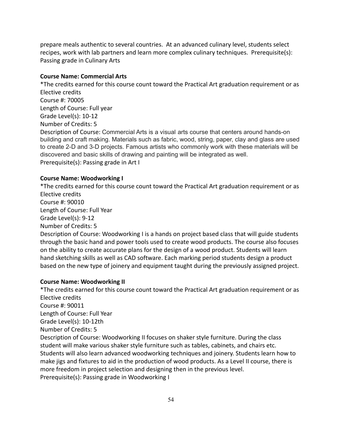prepare meals authentic to several countries. At an advanced culinary level, students select recipes, work with lab partners and learn more complex culinary techniques. Prerequisite(s): Passing grade in Culinary Arts

### **Course Name: Commercial Arts**

\*The credits earned for this course count toward the Practical Art graduation requirement or as Elective credits Course #: 70005 Length of Course: Full year Grade Level(s): 10-12 Number of Credits: 5 Description of Course: Commercial Arts is a visual arts course that centers around hands-on building and craft making. Materials such as fabric, wood, string, paper, clay and glass are used to create 2-D and 3-D projects. Famous artists who commonly work with these materials will be discovered and basic skills of drawing and painting will be integrated as well. Prerequisite(s): Passing grade in Art I

#### **Course Name: Woodworking I**

\*The credits earned for this course count toward the Practical Art graduation requirement or as Elective credits Course #: 90010 Length of Course: Full Year Grade Level(s): 9-12 Number of Credits: 5 Description of Course: Woodworking I is a hands on project based class that will guide students through the basic hand and power tools used to create wood products. The course also focuses on the ability to create accurate plans for the design of a wood product. Students will learn hand sketching skills as well as CAD software. Each marking period students design a product based on the new type of joinery and equipment taught during the previously assigned project.

#### **Course Name: Woodworking II**

\*The credits earned for this course count toward the Practical Art graduation requirement or as Elective credits Course #: 90011 Length of Course: Full Year Grade Level(s): 10-12th Number of Credits: 5 Description of Course: Woodworking II focuses on shaker style furniture. During the class student will make various shaker style furniture such as tables, cabinets, and chairs etc. Students will also learn advanced woodworking techniques and joinery. Students learn how to make jigs and fixtures to aid in the production of wood products. As a Level II course, there is more freedom in project selection and designing then in the previous level. Prerequisite(s): Passing grade in Woodworking I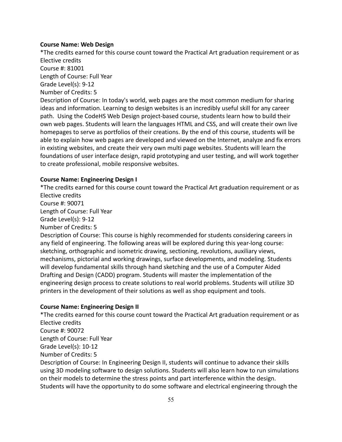#### **Course Name: Web Design**

\*The credits earned for this course count toward the Practical Art graduation requirement or as Elective credits Course #: 81001 Length of Course: Full Year Grade Level(s): 9-12 Number of Credits: 5 Description of Course: In today's world, web pages are the most common medium for sharing ideas and information. Learning to design websites is an incredibly useful skill for any career path. Using the CodeHS Web Design project-based course, students learn how to build their own web pages. Students will learn the languages HTML and CSS, and will create their own live homepages to serve as portfolios of their creations. By the end of this course, students will be able to explain how web pages are developed and viewed on the Internet, analyze and fix errors in existing websites, and create their very own multi page websites. Students will learn the foundations of user interface design, rapid prototyping and user testing, and will work together to create professional, mobile responsive websites.

#### **Course Name: Engineering Design I**

\*The credits earned for this course count toward the Practical Art graduation requirement or as Elective credits Course #: 90071 Length of Course: Full Year Grade Level(s): 9-12 Number of Credits: 5 Description of Course: This course is highly recommended for students considering careers in any field of engineering. The following areas will be explored during this year-long course: sketching, orthographic and isometric drawing, sectioning, revolutions, auxiliary views, mechanisms, pictorial and working drawings, surface developments, and modeling. Students will develop fundamental skills through hand sketching and the use of a Computer Aided Drafting and Design (CADD) program. Students will master the implementation of the engineering design process to create solutions to real world problems. Students will utilize 3D printers in the development of their solutions as well as shop equipment and tools.

#### **Course Name: Engineering Design II**

\*The credits earned for this course count toward the Practical Art graduation requirement or as Elective credits Course #: 90072 Length of Course: Full Year Grade Level(s): 10-12 Number of Credits: 5 Description of Course: In Engineering Design II, students will continue to advance their skills using 3D modeling software to design solutions. Students will also learn how to run simulations on their models to determine the stress points and part interference within the design.

Students will have the opportunity to do some software and electrical engineering through the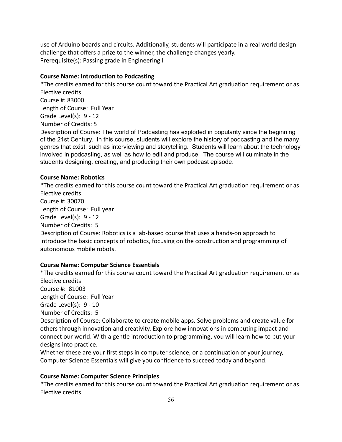use of Arduino boards and circuits. Additionally, students will participate in a real world design challenge that offers a prize to the winner, the challenge changes yearly. Prerequisite(s): Passing grade in Engineering I

### **Course Name: Introduction to Podcasting**

\*The credits earned for this course count toward the Practical Art graduation requirement or as Elective credits Course #: 83000 Length of Course: Full Year Grade Level(s): 9 - 12 Number of Credits: 5 Description of Course: The world of Podcasting has exploded in popularity since the beginning of the 21st Century. In this course, students will explore the history of podcasting and the many genres that exist, such as interviewing and storytelling. Students will learn about the technology involved in podcasting, as well as how to edit and produce. The course will culminate in the

students designing, creating, and producing their own podcast episode.

### **Course Name: Robotics**

\*The credits earned for this course count toward the Practical Art graduation requirement or as Elective credits Course #: 30070 Length of Course: Full year Grade Level(s): 9 - 12 Number of Credits: 5 Description of Course: Robotics is a lab-based course that uses a hands-on approach to introduce the basic concepts of robotics, focusing on the construction and programming of autonomous mobile robots.

### **Course Name: Computer Science Essentials**

\*The credits earned for this course count toward the Practical Art graduation requirement or as Elective credits Course #: 81003

Length of Course: Full Year

Grade Level(s): 9 - 10

Number of Credits: 5

Description of Course: Collaborate to create mobile apps. Solve problems and create value for others through innovation and creativity. Explore how innovations in computing impact and connect our world. With a gentle introduction to programming, you will learn how to put your designs into practice.

Whether these are your first steps in computer science, or a continuation of your journey, Computer Science Essentials will give you confidence to succeed today and beyond.

### **Course Name: Computer Science Principles**

\*The credits earned for this course count toward the Practical Art graduation requirement or as Elective credits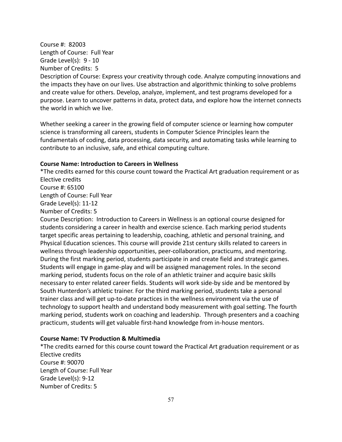Course #: 82003 Length of Course: Full Year Grade Level(s): 9 - 10 Number of Credits: 5 Description of Course: Express your creativity through code. Analyze computing innovations and

the impacts they have on our lives. Use abstraction and algorithmic thinking to solve problems and create value for others. Develop, analyze, implement, and test programs developed for a purpose. Learn to uncover patterns in data, protect data, and explore how the internet connects the world in which we live.

Whether seeking a career in the growing field of computer science or learning how computer science is transforming all careers, students in Computer Science Principles learn the fundamentals of coding, data processing, data security, and automating tasks while learning to contribute to an inclusive, safe, and ethical computing culture.

#### **Course Name: Introduction to Careers in Wellness**

\*The credits earned for this course count toward the Practical Art graduation requirement or as Elective credits Course #: 65100

Length of Course: Full Year

Grade Level(s): 11-12

Number of Credits: 5

Course Description: Introduction to Careers in Wellness is an optional course designed for students considering a career in health and exercise science. Each marking period students target specific areas pertaining to leadership, coaching, athletic and personal training, and Physical Education sciences. This course will provide 21st century skills related to careers in wellness through leadership opportunities, peer-collaboration, practicums, and mentoring. During the first marking period, students participate in and create field and strategic games. Students will engage in game-play and will be assigned management roles. In the second marking period, students focus on the role of an athletic trainer and acquire basic skills necessary to enter related career fields. Students will work side-by side and be mentored by South Hunterdon's athletic trainer. For the third marking period, students take a personal trainer class and will get up-to-date practices in the wellness environment via the use of technology to support health and understand body measurement with goal setting. The fourth marking period, students work on coaching and leadership. Through presenters and a coaching practicum, students will get valuable first-hand knowledge from in-house mentors.

#### **Course Name: TV Production & Multimedia**

\*The credits earned for this course count toward the Practical Art graduation requirement or as Elective credits Course #: 90070 Length of Course: Full Year Grade Level(s): 9-12 Number of Credits: 5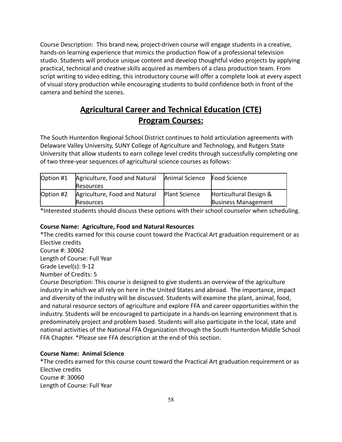Course Description: This brand new, project-driven course will engage students in a creative, hands-on learning experience that mimics the production flow of a professional television studio. Students will produce unique content and develop thoughtful video projects by applying practical, technical and creative skills acquired as members of a class production team. From script writing to video editing, this introductory course will offer a complete look at every aspect of visual story production while encouraging students to build confidence both in front of the camera and behind the scenes.

### **Agricultural Career and Technical Education (CTE) Program Courses:**

The South Hunterdon Regional School District continues to hold articulation agreements with Delaware Valley University, SUNY College of Agriculture and Technology, and Rutgers State University that allow students to earn college level credits through successfully completing one of two three-year sequences of agricultural science courses as follows:

| Option #1 | Agriculture, Food and Natural | Animal Science Food Science |                            |
|-----------|-------------------------------|-----------------------------|----------------------------|
|           | <b>Resources</b>              |                             |                            |
| Option #2 | Agriculture, Food and Natural | <b>Plant Science</b>        | Horticultural Design &     |
|           | <b>Resources</b>              |                             | <b>Business Management</b> |

\*Interested students should discuss these options with their school counselor when scheduling.

### **Course Name: Agriculture, Food and Natural Resources**

\*The credits earned for this course count toward the Practical Art graduation requirement or as Elective credits

Course #: 30062

Length of Course: Full Year

Grade Level(s): 9-12

Number of Credits: 5

Course Description: This course is designed to give students an overview of the agriculture industry in which we all rely on here in the United States and abroad. The importance, impact and diversity of the industry will be discussed. Students will examine the plant, animal, food, and natural resource sectors of agriculture and explore FFA and career opportunities within the industry. Students will be encouraged to participate in a hands-on learning environment that is predominately project and problem based. Students will also participate in the local, state and national activities of the National FFA Organization through the South Hunterdon Middle School FFA Chapter. \*Please see FFA description at the end of this section.

### **Course Name: Animal Science**

\*The credits earned for this course count toward the Practical Art graduation requirement or as Elective credits Course #: 30060 Length of Course: Full Year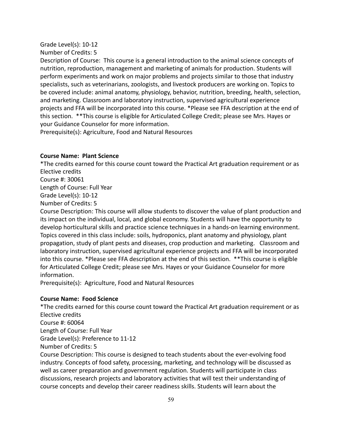#### Grade Level(s): 10-12

Number of Credits: 5

Description of Course: This course is a general introduction to the animal science concepts of nutrition, reproduction, management and marketing of animals for production. Students will perform experiments and work on major problems and projects similar to those that industry specialists, such as veterinarians, zoologists, and livestock producers are working on. Topics to be covered include: animal anatomy, physiology, behavior, nutrition, breeding, health, selection, and marketing. Classroom and laboratory instruction, supervised agricultural experience projects and FFA will be incorporated into this course. \*Please see FFA description at the end of this section. \*\*This course is eligible for Articulated College Credit; please see Mrs. Hayes or your Guidance Counselor for more information.

Prerequisite(s): Agriculture, Food and Natural Resources

### **Course Name: Plant Science**

\*The credits earned for this course count toward the Practical Art graduation requirement or as Elective credits Course #: 30061

Length of Course: Full Year

Grade Level(s): 10-12

Number of Credits: 5

Course Description: This course will allow students to discover the value of plant production and its impact on the individual, local, and global economy. Students will have the opportunity to develop horticultural skills and practice science techniques in a hands-on learning environment. Topics covered in this class include: soils, hydroponics, plant anatomy and physiology, plant propagation, study of plant pests and diseases, crop production and marketing. Classroom and laboratory instruction, supervised agricultural experience projects and FFA will be incorporated into this course. \*Please see FFA description at the end of this section. \*\*This course is eligible for Articulated College Credit; please see Mrs. Hayes or your Guidance Counselor for more information.

Prerequisite(s): Agriculture, Food and Natural Resources

### **Course Name: Food Science**

\*The credits earned for this course count toward the Practical Art graduation requirement or as Elective credits Course #: 60064 Length of Course: Full Year Grade Level(s): Preference to 11-12 Number of Credits: 5 Course Description: This course is designed to teach students about the ever-evolving food

industry. Concepts of food safety, processing, marketing, and technology will be discussed as well as career preparation and government regulation. Students will participate in class discussions, research projects and laboratory activities that will test their understanding of course concepts and develop their career readiness skills. Students will learn about the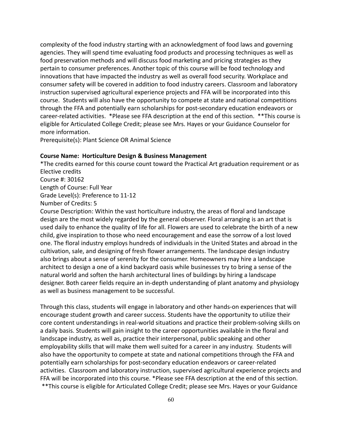complexity of the food industry starting with an acknowledgment of food laws and governing agencies. They will spend time evaluating food products and processing techniques as well as food preservation methods and will discuss food marketing and pricing strategies as they pertain to consumer preferences. Another topic of this course will be food technology and innovations that have impacted the industry as well as overall food security. Workplace and consumer safety will be covered in addition to food industry careers. Classroom and laboratory instruction supervised agricultural experience projects and FFA will be incorporated into this course. Students will also have the opportunity to compete at state and national competitions through the FFA and potentially earn scholarships for post-secondary education endeavors or career-related activities. \*Please see FFA description at the end of this section. \*\*This course is eligible for Articulated College Credit; please see Mrs. Hayes or your Guidance Counselor for more information.

Prerequisite(s): Plant Science OR Animal Science

#### **Course Name: Horticulture Design & Business Management**

\*The credits earned for this course count toward the Practical Art graduation requirement or as Elective credits Course #: 30162 Length of Course: Full Year Grade Level(s): Preference to 11-12 Number of Credits: 5

Course Description: Within the vast horticulture industry, the areas of floral and landscape design are the most widely regarded by the general observer. Floral arranging is an art that is used daily to enhance the quality of life for all. Flowers are used to celebrate the birth of a new child, give inspiration to those who need encouragement and ease the sorrow of a lost loved one. The floral industry employs hundreds of individuals in the United States and abroad in the cultivation, sale, and designing of fresh flower arrangements. The landscape design industry also brings about a sense of serenity for the consumer. Homeowners may hire a landscape architect to design a one of a kind backyard oasis while businesses try to bring a sense of the natural world and soften the harsh architectural lines of buildings by hiring a landscape designer. Both career fields require an in-depth understanding of plant anatomy and physiology as well as business management to be successful.

Through this class, students will engage in laboratory and other hands-on experiences that will encourage student growth and career success. Students have the opportunity to utilize their core content understandings in real-world situations and practice their problem-solving skills on a daily basis. Students will gain insight to the career opportunities available in the floral and landscape industry, as well as, practice their interpersonal, public speaking and other employability skills that will make them well suited for a career in any industry. Students will also have the opportunity to compete at state and national competitions through the FFA and potentially earn scholarships for post-secondary education endeavors or career-related activities. Classroom and laboratory instruction, supervised agricultural experience projects and FFA will be incorporated into this course. \*Please see FFA description at the end of this section. \*\*This course is eligible for Articulated College Credit; please see Mrs. Hayes or your Guidance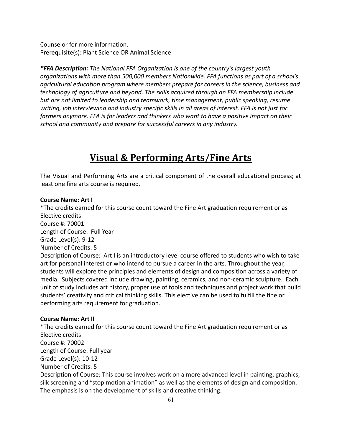Counselor for more information. Prerequisite(s): Plant Science OR Animal Science

*\*FFA Description: The National FFA Organization is one of the country's largest youth organizations with more than 500,000 members Nationwide. FFA functions as part of a school's agricultural education program where members prepare for careers in the science, business and technology of agriculture and beyond. The skills acquired through an FFA membership include but are not limited to leadership and teamwork, time management, public speaking, resume writing, job interviewing and industry specific skills in all areas of interest. FFA is not just for farmers anymore. FFA is for leaders and thinkers who want to have a positive impact on their school and community and prepare for successful careers in any industry.*

# **Visual & Performing Arts/Fine Arts**

The Visual and Performing Arts are a critical component of the overall educational process; at least one fine arts course is required.

#### **Course Name: Art I**

\*The credits earned for this course count toward the Fine Art graduation requirement or as Elective credits Course #: 70001

Length of Course: Full Year

Grade Level(s): 9-12

Number of Credits: 5

Description of Course: Art I is an introductory level course offered to students who wish to take art for personal interest or who intend to pursue a career in the arts. Throughout the year, students will explore the principles and elements of design and composition across a variety of media. Subjects covered include drawing, painting, ceramics, and non-ceramic sculpture. Each unit of study includes art history, proper use of tools and techniques and project work that build students' creativity and critical thinking skills. This elective can be used to fulfill the fine or performing arts requirement for graduation.

### **Course Name: Art II**

\*The credits earned for this course count toward the Fine Art graduation requirement or as Elective credits Course #: 70002 Length of Course: Full year Grade Level(s): 10-12 Number of Credits: 5 Description of Course: This course involves work on a more advanced level in painting, graphics, silk screening and "stop motion animation" as well as the elements of design and composition. The emphasis is on the development of skills and creative thinking.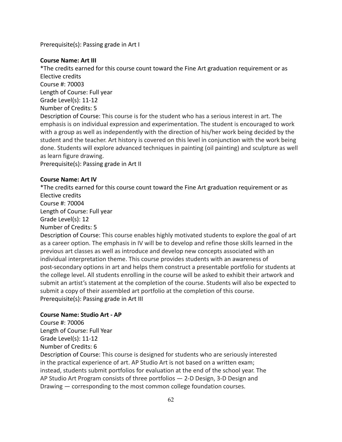Prerequisite(s): Passing grade in Art I

### **Course Name: Art III**

\*The credits earned for this course count toward the Fine Art graduation requirement or as Elective credits Course #: 70003 Length of Course: Full year Grade Level(s): 11-12 Number of Credits: 5 Description of Course: This course is for the student who has a serious interest in art. The emphasis is on individual expression and experimentation. The student is encouraged to work with a group as well as independently with the direction of his/her work being decided by the student and the teacher. Art history is covered on this level in conjunction with the work being done. Students will explore advanced techniques in painting (oil painting) and sculpture as well as learn figure drawing.

Prerequisite(s): Passing grade in Art II

### **Course Name: Art IV**

\*The credits earned for this course count toward the Fine Art graduation requirement or as Elective credits Course #: 70004 Length of Course: Full year Grade Level(s): 12 Number of Credits: 5 Description of Course: This course enables highly motivated students to explore the goal of art as a career option. The emphasis in IV will be to develop and refine those skills learned in the previous art classes as well as introduce and develop new concepts associated with an individual interpretation theme. This course provides students with an awareness of post-secondary options in art and helps them construct a presentable portfolio for students at the college level. All students enrolling in the course will be asked to exhibit their artwork and submit an artist's statement at the completion of the course. Students will also be expected to submit a copy of their assembled art portfolio at the completion of this course.

Prerequisite(s): Passing grade in Art III

### **Course Name: Studio Art - AP**

Course #: 70006 Length of Course: Full Year Grade Level(s): 11-12 Number of Credits: 6

Description of Course: This course is designed for students who are seriously interested in the practical experience of art. AP Studio Art is not based on a written exam; instead, students submit portfolios for evaluation at the end of the school year. The AP Studio Art Program consists of three portfolios — 2-D Design, 3-D Design and Drawing — corresponding to the most common college foundation courses.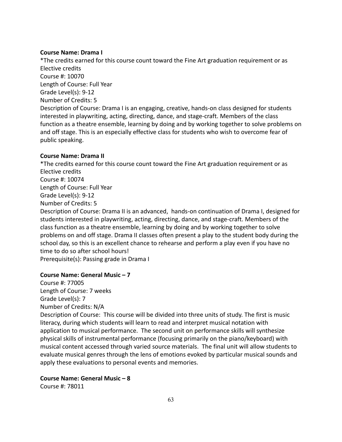#### **Course Name: Drama I**

\*The credits earned for this course count toward the Fine Art graduation requirement or as Elective credits Course #: 10070 Length of Course: Full Year Grade Level(s): 9-12 Number of Credits: 5 Description of Course: Drama I is an engaging, creative, hands-on class designed for students interested in playwriting, acting, directing, dance, and stage-craft. Members of the class function as a theatre ensemble, learning by doing and by working together to solve problems on and off stage. This is an especially effective class for students who wish to overcome fear of public speaking.

#### **Course Name: Drama II**

\*The credits earned for this course count toward the Fine Art graduation requirement or as Elective credits Course #: 10074 Length of Course: Full Year Grade Level(s): 9-12 Number of Credits: 5 Description of Course: Drama II is an advanced, hands-on continuation of Drama I, designed for students interested in playwriting, acting, directing, dance, and stage-craft. Members of the class function as a theatre ensemble, learning by doing and by working together to solve problems on and off stage. Drama II classes often present a play to the student body during the school day, so this is an excellent chance to rehearse and perform a play even if you have no time to do so after school hours!

Prerequisite(s): Passing grade in Drama I

### **Course Name: General Music – 7**

Course #: 77005 Length of Course: 7 weeks Grade Level(s): 7 Number of Credits: N/A

Description of Course: This course will be divided into three units of study. The first is music literacy, during which students will learn to read and interpret musical notation with application to musical performance. The second unit on performance skills will synthesize physical skills of instrumental performance (focusing primarily on the piano/keyboard) with musical content accessed through varied source materials. The final unit will allow students to evaluate musical genres through the lens of emotions evoked by particular musical sounds and apply these evaluations to personal events and memories.

**Course Name: General Music – 8**

Course #: 78011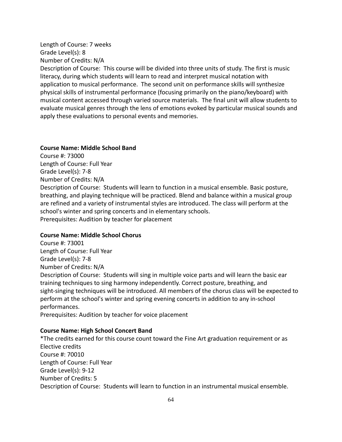### Length of Course: 7 weeks Grade Level(s): 8 Number of Credits: N/A

Description of Course: This course will be divided into three units of study. The first is music literacy, during which students will learn to read and interpret musical notation with application to musical performance. The second unit on performance skills will synthesize physical skills of instrumental performance (focusing primarily on the piano/keyboard) with musical content accessed through varied source materials. The final unit will allow students to evaluate musical genres through the lens of emotions evoked by particular musical sounds and apply these evaluations to personal events and memories.

#### **Course Name: Middle School Band**

Course #: 73000 Length of Course: Full Year Grade Level(s): 7-8 Number of Credits: N/A Description of Course: Students will learn to function in a musical ensemble. Basic posture, breathing, and playing technique will be practiced. Blend and balance within a musical group are refined and a variety of instrumental styles are introduced. The class will perform at the school's winter and spring concerts and in elementary schools. Prerequisites: Audition by teacher for placement

#### **Course Name: Middle School Chorus**

Course #: 73001 Length of Course: Full Year Grade Level(s): 7-8 Number of Credits: N/A Description of Course: Students will sing in multiple voice parts and will learn the basic ear training techniques to sing harmony independently. Correct posture, breathing, and sight-singing techniques will be introduced. All members of the chorus class will be expected to perform at the school's winter and spring evening concerts in addition to any in-school performances.

Prerequisites: Audition by teacher for voice placement

#### **Course Name: High School Concert Band**

\*The credits earned for this course count toward the Fine Art graduation requirement or as Elective credits Course #: 70010 Length of Course: Full Year Grade Level(s): 9-12 Number of Credits: 5 Description of Course: Students will learn to function in an instrumental musical ensemble.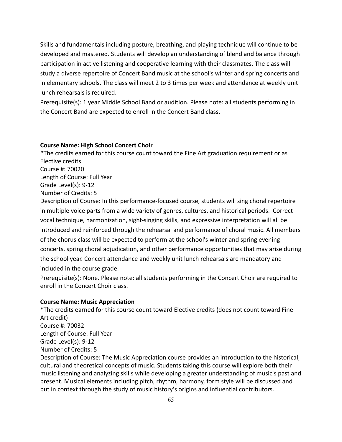Skills and fundamentals including posture, breathing, and playing technique will continue to be developed and mastered. Students will develop an understanding of blend and balance through participation in active listening and cooperative learning with their classmates. The class will study a diverse repertoire of Concert Band music at the school's winter and spring concerts and in elementary schools. The class will meet 2 to 3 times per week and attendance at weekly unit lunch rehearsals is required.

Prerequisite(s): 1 year Middle School Band or audition. Please note: all students performing in the Concert Band are expected to enroll in the Concert Band class.

#### **Course Name: High School Concert Choir**

\*The credits earned for this course count toward the Fine Art graduation requirement or as Elective credits Course #: 70020 Length of Course: Full Year Grade Level(s): 9-12 Number of Credits: 5 Description of Course: In this performance-focused course, students will sing choral repertoire in multiple voice parts from a wide variety of genres, cultures, and historical periods. Correct

vocal technique, harmonization, sight-singing skills, and expressive interpretation will all be introduced and reinforced through the rehearsal and performance of choral music. All members of the chorus class will be expected to perform at the school's winter and spring evening concerts, spring choral adjudication, and other performance opportunities that may arise during the school year. Concert attendance and weekly unit lunch rehearsals are mandatory and included in the course grade.

Prerequisite(s): None. Please note: all students performing in the Concert Choir are required to enroll in the Concert Choir class.

#### **Course Name: Music Appreciation**

\*The credits earned for this course count toward Elective credits (does not count toward Fine Art credit) Course #: 70032 Length of Course: Full Year Grade Level(s): 9-12 Number of Credits: 5 Description of Course: The Music Appreciation course provides an introduction to the historical, cultural and theoretical concepts of music. Students taking this course will explore both their music listening and analyzing skills while developing a greater understanding of music's past and present. Musical elements including pitch, rhythm, harmony, form style will be discussed and put in context through the study of music history's origins and influential contributors.